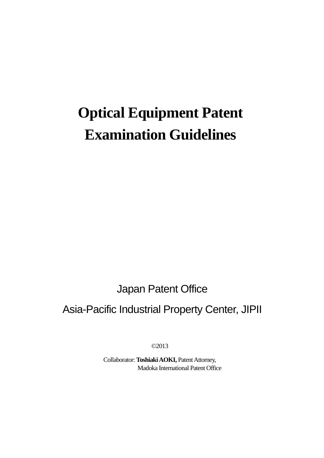# **Optical Equipment Patent Examination Guidelines**

Japan Patent Office

# Asia-Pacific Industrial Property Center, JIPII

©2013

Collaborator: Toshiaki AOKI, Patent Attorney, Madoka International Patent Office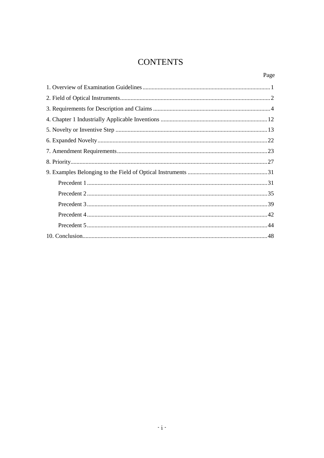# **CONTENTS**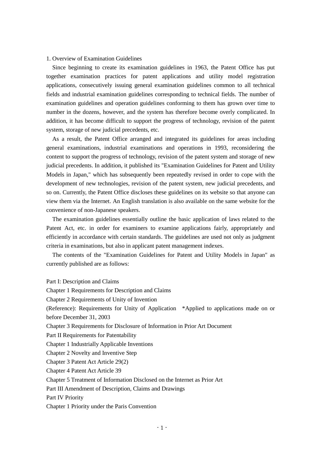## 1. Overview of Examination Guidelines

Since beginning to create its examination guidelines in 1963, the Patent Office has put together examination practices for patent applications and utility model registration applications, consecutively issuing general examination guidelines common to all technical fields and industrial examination guidelines corresponding to technical fields. The number of examination guidelines and operation guidelines conforming to them has grown over time to number in the dozens, however, and the system has therefore become overly complicated. In addition, it has become difficult to support the progress of technology, revision of the patent system, storage of new judicial precedents, etc.

As a result, the Patent Office arranged and integrated its guidelines for areas including general examinations, industrial examinations and operations in 1993, reconsidering the content to support the progress of technology, revision of the patent system and storage of new judicial precedents. In addition, it published its "Examination Guidelines for Patent and Utility Models in Japan," which has subsequently been repeatedly revised in order to cope with the development of new technologies, revision of the patent system, new judicial precedents, and so on. Currently, the Patent Office discloses these guidelines on its website so that anyone can view them via the Internet. An English translation is also available on the same website for the convenience of non-Japanese speakers.

The examination guidelines essentially outline the basic application of laws related to the Patent Act, etc. in order for examiners to examine applications fairly, appropriately and efficiently in accordance with certain standards. The guidelines are used not only as judgment criteria in examinations, but also in applicant patent management indexes.

The contents of the "Examination Guidelines for Patent and Utility Models in Japan" as currently published are as follows:

Part I: Description and Claims Chapter 1 Requirements for Description and Claims Chapter 2 Requirements of Unity of Invention (Reference): Requirements for Unity of Application \*Applied to applications made on or before December 31, 2003 Chapter 3 Requirements for Disclosure of Information in Prior Art Document Part II Requirements for Patentability Chapter 1 Industrially Applicable Inventions Chapter 2 Novelty and Inventive Step Chapter 3 Patent Act Article 29(2) Chapter 4 Patent Act Article 39 Chapter 5 Treatment of Information Disclosed on the Internet as Prior Art Part III Amendment of Description, Claims and Drawings Part IV Priority Chapter 1 Priority under the Paris Convention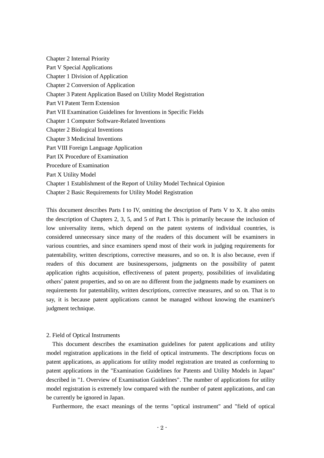Chapter 2 Internal Priority Part V Special Applications Chapter 1 Division of Application Chapter 2 Conversion of Application Chapter 3 Patent Application Based on Utility Model Registration Part VI Patent Term Extension Part VII Examination Guidelines for Inventions in Specific Fields Chapter 1 Computer Software-Related Inventions Chapter 2 Biological Inventions Chapter 3 Medicinal Inventions Part VIII Foreign Language Application Part IX Procedure of Examination Procedure of Examination Part X Utility Model Chapter 1 Establishment of the Report of Utility Model Technical Opinion Chapter 2 Basic Requirements for Utility Model Registration

This document describes Parts I to IV, omitting the description of Parts V to X. It also omits the description of Chapters 2, 3, 5, and 5 of Part I. This is primarily because the inclusion of low universality items, which depend on the patent systems of individual countries, is considered unnecessary since many of the readers of this document will be examiners in various countries, and since examiners spend most of their work in judging requirements for patentability, written descriptions, corrective measures, and so on. It is also because, even if readers of this document are businesspersons, judgments on the possibility of patent application rights acquisition, effectiveness of patent property, possibilities of invalidating others' patent properties, and so on are no different from the judgments made by examiners on requirements for patentability, written descriptions, corrective measures, and so on. That is to say, it is because patent applications cannot be managed without knowing the examiner's judgment technique.

#### 2. Field of Optical Instruments

This document describes the examination guidelines for patent applications and utility model registration applications in the field of optical instruments. The descriptions focus on patent applications, as applications for utility model registration are treated as conforming to patent applications in the "Examination Guidelines for Patents and Utility Models in Japan" described in "1. Overview of Examination Guidelines". The number of applications for utility model registration is extremely low compared with the number of patent applications, and can be currently be ignored in Japan.

Furthermore, the exact meanings of the terms "optical instrument" and "field of optical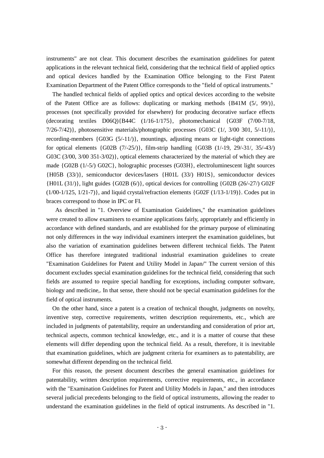instruments" are not clear. This document describes the examination guidelines for patent applications in the relevant technical field, considering that the technical field of applied optics and optical devices handled by the Examination Office belonging to the First Patent Examination Department of the Patent Office corresponds to the "field of optical instruments."

 The handled technical fields of applied optics and optical devices according to the website of the Patent Office are as follows: duplicating or marking methods {B41M (5/, 99/)}, processes (not specifically provided for elsewhere) for producing decorative surface effects (decorating textiles D06Q){B44C (1/16-1/175}, photomechanical {G03F (7/00-7/18,  $7/26-7/42$ }, photosensitive materials/photographic processes {G03C  $(1/$ ,  $3/00 301$ ,  $5/11/$ }, recording-members  $\{G03G (5/-11/\})$ , mountings, adjusting means or light-tight connections for optical elements {G02B (7/-25/)}, film-strip handling {G03B (1/-19, 29/-31/, 35/-43/) G03C (3/00, 3/00 351-3/02)}, optical elements characterized by the material of which they are made {G02B (1/-5/) G02C}, holographic processes (G03H}, electroluminescent light sources {H05B (33/)}, semiconductor devices/lasers {H01L (33/) H01S}, semiconductor devices {H01L (31/)}, light guides {G02B (6/)}, optical devices for controlling {G02B (26/-27/) G02F  $(1/00-1/125, 1/21-7)$ , and liquid crystal/refraction elements  $\{GO2F (1/13-1/19)\}$ . Codes put in braces correspond to those in IPC or FI.

As described in "1. Overview of Examination Guidelines," the examination guidelines were created to allow examiners to examine applications fairly, appropriately and efficiently in accordance with defined standards, and are established for the primary purpose of eliminating not only differences in the way individual examiners interpret the examination guidelines, but also the variation of examination guidelines between different technical fields. The Patent Office has therefore integrated traditional industrial examination guidelines to create "Examination Guidelines for Patent and Utility Model in Japan/" The current version of this document excludes special examination guidelines for the technical field, considering that such fields are assumed to require special handling for exceptions, including computer software, biology and medicine,. In that sense, there should not be special examination guidelines for the field of optical instruments.

On the other hand, since a patent is a creation of technical thought, judgments on novelty, inventive step, corrective requirements, written description requirements, etc., which are included in judgments of patentability, require an understanding and consideration of prior art, technical aspects, common technical knowledge, etc., and it is a matter of course that these elements will differ depending upon the technical field. As a result, therefore, it is inevitable that examination guidelines, which are judgment criteria for examiners as to patentability, are somewhat different depending on the technical field.

For this reason, the present document describes the general examination guidelines for patentability, written description requirements, corrective requirements, etc., in accordance with the "Examination Guidelines for Patent and Utility Models in Japan," and then introduces several judicial precedents belonging to the field of optical instruments, allowing the reader to understand the examination guidelines in the field of optical instruments. As described in "1.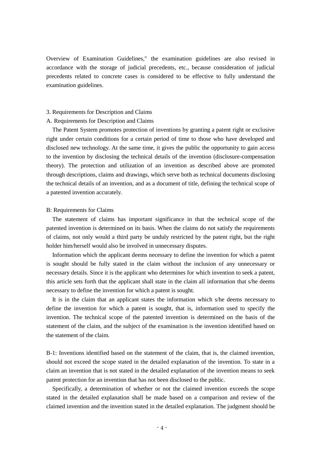Overview of Examination Guidelines," the examination guidelines are also revised in accordance with the storage of judicial precedents, etc., because consideration of judicial precedents related to concrete cases is considered to be effective to fully understand the examination guidelines.

# 3. Requirements for Description and Claims

#### A. Requirements for Description and Claims

The Patent System promotes protection of inventions by granting a patent right or exclusive right under certain conditions for a certain period of time to those who have developed and disclosed new technology. At the same time, it gives the public the opportunity to gain access to the invention by disclosing the technical details of the invention (disclosure-compensation theory). The protection and utilization of an invention as described above are promoted through descriptions, claims and drawings, which serve both as technical documents disclosing the technical details of an invention, and as a document of title, defining the technical scope of a patented invention accurately.

#### B: Requirements for Claims

The statement of claims has important significance in that the technical scope of the patented invention is determined on its basis. When the claims do not satisfy the requirements of claims, not only would a third party be unduly restricted by the patent right, but the right holder him/herself would also be involved in unnecessary disputes.

Information which the applicant deems necessary to define the invention for which a patent is sought should be fully stated in the claim without the inclusion of any unnecessary or necessary details. Since it is the applicant who determines for which invention to seek a patent, this article sets forth that the applicant shall state in the claim all information that s/he deems necessary to define the invention for which a patent is sought.

It is in the claim that an applicant states the information which s/he deems necessary to define the invention for which a patent is sought, that is, information used to specify the invention. The technical scope of the patented invention is determined on the basis of the statement of the claim, and the subject of the examination is the invention identified based on the statement of the claim.

B-1: Inventions identified based on the statement of the claim, that is, the claimed invention, should not exceed the scope stated in the detailed explanation of the invention. To state in a claim an invention that is not stated in the detailed explanation of the invention means to seek patent protection for an invention that has not been disclosed to the public.

Specifically, a determination of whether or not the claimed invention exceeds the scope stated in the detailed explanation shall be made based on a comparison and review of the claimed invention and the invention stated in the detailed explanation. The judgment should be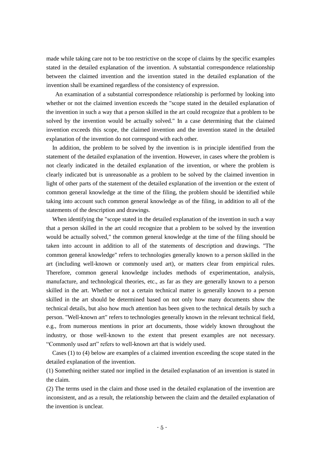made while taking care not to be too restrictive on the scope of claims by the specific examples stated in the detailed explanation of the invention. A substantial correspondence relationship between the claimed invention and the invention stated in the detailed explanation of the invention shall be examined regardless of the consistency of expression.

An examination of a substantial correspondence relationship is performed by looking into whether or not the claimed invention exceeds the "scope stated in the detailed explanation of the invention in such a way that a person skilled in the art could recognize that a problem to be solved by the invention would be actually solved." In a case determining that the claimed invention exceeds this scope, the claimed invention and the invention stated in the detailed explanation of the invention do not correspond with each other.

In addition, the problem to be solved by the invention is in principle identified from the statement of the detailed explanation of the invention. However, in cases where the problem is not clearly indicated in the detailed explanation of the invention, or where the problem is clearly indicated but is unreasonable as a problem to be solved by the claimed invention in light of other parts of the statement of the detailed explanation of the invention or the extent of common general knowledge at the time of the filing, the problem should be identified while taking into account such common general knowledge as of the filing, in addition to all of the statements of the description and drawings.

When identifying the "scope stated in the detailed explanation of the invention in such a way that a person skilled in the art could recognize that a problem to be solved by the invention would be actually solved," the common general knowledge at the time of the filing should be taken into account in addition to all of the statements of description and drawings. "The common general knowledge" refers to technologies generally known to a person skilled in the art (including well-known or commonly used art), or matters clear from empirical rules. Therefore, common general knowledge includes methods of experimentation, analysis, manufacture, and technological theories, etc., as far as they are generally known to a person skilled in the art. Whether or not a certain technical matter is generally known to a person skilled in the art should be determined based on not only how many documents show the technical details, but also how much attention has been given to the technical details by such a person. "Well-known art" refers to technologies generally known in the relevant technical field, e.g., from numerous mentions in prior art documents, those widely known throughout the industry, or those well-known to the extent that present examples are not necessary. "Commonly used art" refers to well-known art that is widely used.

Cases (1) to (4) below are examples of a claimed invention exceeding the scope stated in the detailed explanation of the invention.

(1) Something neither stated nor implied in the detailed explanation of an invention is stated in the claim.

(2) The terms used in the claim and those used in the detailed explanation of the invention are inconsistent, and as a result, the relationship between the claim and the detailed explanation of the invention is unclear.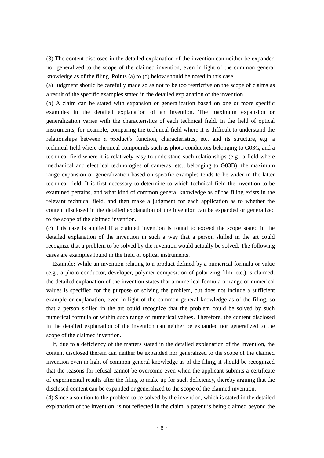(3) The content disclosed in the detailed explanation of the invention can neither be expanded nor generalized to the scope of the claimed invention, even in light of the common general knowledge as of the filing. Points (a) to (d) below should be noted in this case.

(a) Judgment should be carefully made so as not to be too restrictive on the scope of claims as a result of the specific examples stated in the detailed explanation of the invention.

(b) A claim can be stated with expansion or generalization based on one or more specific examples in the detailed explanation of an invention. The maximum expansion or generalization varies with the characteristics of each technical field. In the field of optical instruments, for example, comparing the technical field where it is difficult to understand the relationships between a product's function, characteristics, etc. and its structure, e.g. a technical field where chemical compounds such as photo conductors belonging to G03G, and a technical field where it is relatively easy to understand such relationships (e.g., a field where mechanical and electrical technologies of cameras, etc., belonging to G03B), the maximum range expansion or generalization based on specific examples tends to be wider in the latter technical field. It is first necessary to determine to which technical field the invention to be examined pertains, and what kind of common general knowledge as of the filing exists in the relevant technical field, and then make a judgment for each application as to whether the content disclosed in the detailed explanation of the invention can be expanded or generalized to the scope of the claimed invention.

(c) This case is applied if a claimed invention is found to exceed the scope stated in the detailed explanation of the invention in such a way that a person skilled in the art could recognize that a problem to be solved by the invention would actually be solved. The following cases are examples found in the field of optical instruments.

Example: While an invention relating to a product defined by a numerical formula or value (e.g., a photo conductor, developer, polymer composition of polarizing film, etc.) is claimed, the detailed explanation of the invention states that a numerical formula or range of numerical values is specified for the purpose of solving the problem, but does not include a sufficient example or explanation, even in light of the common general knowledge as of the filing, so that a person skilled in the art could recognize that the problem could be solved by such numerical formula or within such range of numerical values. Therefore, the content disclosed in the detailed explanation of the invention can neither be expanded nor generalized to the scope of the claimed invention.

If, due to a deficiency of the matters stated in the detailed explanation of the invention, the content disclosed therein can neither be expanded nor generalized to the scope of the claimed invention even in light of common general knowledge as of the filing, it should be recognized that the reasons for refusal cannot be overcome even when the applicant submits a certificate of experimental results after the filing to make up for such deficiency, thereby arguing that the disclosed content can be expanded or generalized to the scope of the claimed invention.

(4) Since a solution to the problem to be solved by the invention, which is stated in the detailed explanation of the invention, is not reflected in the claim, a patent is being claimed beyond the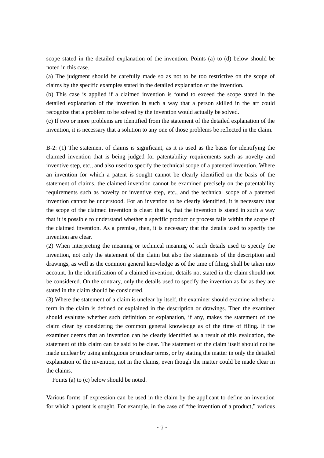scope stated in the detailed explanation of the invention. Points (a) to (d) below should be noted in this case.

(a) The judgment should be carefully made so as not to be too restrictive on the scope of claims by the specific examples stated in the detailed explanation of the invention.

(b) This case is applied if a claimed invention is found to exceed the scope stated in the detailed explanation of the invention in such a way that a person skilled in the art could recognize that a problem to be solved by the invention would actually be solved.

(c) If two or more problems are identified from the statement of the detailed explanation of the invention, it is necessary that a solution to any one of those problems be reflected in the claim.

B-2: (1) The statement of claims is significant, as it is used as the basis for identifying the claimed invention that is being judged for patentability requirements such as novelty and inventive step, etc., and also used to specify the technical scope of a patented invention. Where an invention for which a patent is sought cannot be clearly identified on the basis of the statement of claims, the claimed invention cannot be examined precisely on the patentability requirements such as novelty or inventive step, etc., and the technical scope of a patented invention cannot be understood. For an invention to be clearly identified, it is necessary that the scope of the claimed invention is clear: that is, that the invention is stated in such a way that it is possible to understand whether a specific product or process falls within the scope of the claimed invention. As a premise, then, it is necessary that the details used to specify the invention are clear.

(2) When interpreting the meaning or technical meaning of such details used to specify the invention, not only the statement of the claim but also the statements of the description and drawings, as well as the common general knowledge as of the time of filing, shall be taken into account. In the identification of a claimed invention, details not stated in the claim should not be considered. On the contrary, only the details used to specify the invention as far as they are stated in the claim should be considered.

(3) Where the statement of a claim is unclear by itself, the examiner should examine whether a term in the claim is defined or explained in the description or drawings. Then the examiner should evaluate whether such definition or explanation, if any, makes the statement of the claim clear by considering the common general knowledge as of the time of filing. If the examiner deems that an invention can be clearly identified as a result of this evaluation, the statement of this claim can be said to be clear. The statement of the claim itself should not be made unclear by using ambiguous or unclear terms, or by stating the matter in only the detailed explanation of the invention, not in the claims, even though the matter could be made clear in the claims.

Points (a) to (c) below should be noted.

Various forms of expression can be used in the claim by the applicant to define an invention for which a patent is sought. For example, in the case of "the invention of a product," various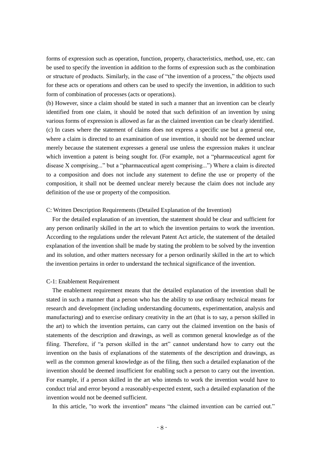forms of expression such as operation, function, property, characteristics, method, use, etc. can be used to specify the invention in addition to the forms of expression such as the combination or structure of products. Similarly, in the case of "the invention of a process," the objects used for these acts or operations and others can be used to specify the invention, in addition to such form of combination of processes (acts or operations).

(b) However, since a claim should be stated in such a manner that an invention can be clearly identified from one claim, it should be noted that such definition of an invention by using various forms of expression is allowed as far as the claimed invention can be clearly identified. (c) In cases where the statement of claims does not express a specific use but a general one, where a claim is directed to an examination of use invention, it should not be deemed unclear merely because the statement expresses a general use unless the expression makes it unclear which invention a patent is being sought for. (For example, not a "pharmaceutical agent for disease X comprising..." but a "pharmaceutical agent comprising...") Where a claim is directed to a composition and does not include any statement to define the use or property of the composition, it shall not be deemed unclear merely because the claim does not include any definition of the use or property of the composition.

#### C: Written Description Requirements (Detailed Explanation of the Invention)

For the detailed explanation of an invention, the statement should be clear and sufficient for any person ordinarily skilled in the art to which the invention pertains to work the invention. According to the regulations under the relevant Patent Act article, the statement of the detailed explanation of the invention shall be made by stating the problem to be solved by the invention and its solution, and other matters necessary for a person ordinarily skilled in the art to which the invention pertains in order to understand the technical significance of the invention.

#### C-1: Enablement Requirement

The enablement requirement means that the detailed explanation of the invention shall be stated in such a manner that a person who has the ability to use ordinary technical means for research and development (including understanding documents, experimentation, analysis and manufacturing) and to exercise ordinary creativity in the art (that is to say, a person skilled in the art) to which the invention pertains, can carry out the claimed invention on the basis of statements of the description and drawings, as well as common general knowledge as of the filing. Therefore, if "a person skilled in the art" cannot understand how to carry out the invention on the basis of explanations of the statements of the description and drawings, as well as the common general knowledge as of the filing, then such a detailed explanation of the invention should be deemed insufficient for enabling such a person to carry out the invention. For example, if a person skilled in the art who intends to work the invention would have to conduct trial and error beyond a reasonably-expected extent, such a detailed explanation of the invention would not be deemed sufficient.

In this article, "to work the invention" means "the claimed invention can be carried out."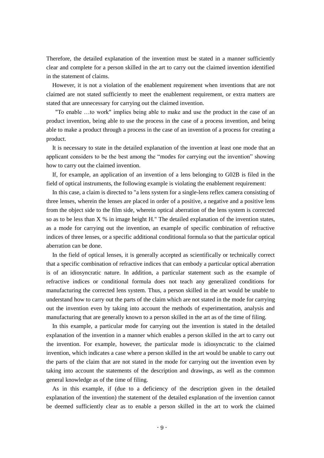Therefore, the detailed explanation of the invention must be stated in a manner sufficiently clear and complete for a person skilled in the art to carry out the claimed invention identified in the statement of claims.

However, it is not a violation of the enablement requirement when inventions that are not claimed are not stated sufficiently to meet the enablement requirement, or extra matters are stated that are unnecessary for carrying out the claimed invention.

"To enable …to work" implies being able to make and use the product in the case of an product invention, being able to use the process in the case of a process invention, and being able to make a product through a process in the case of an invention of a process for creating a product.

It is necessary to state in the detailed explanation of the invention at least one mode that an applicant considers to be the best among the "modes for carrying out the invention" showing how to carry out the claimed invention.

If, for example, an application of an invention of a lens belonging to G02B is filed in the field of optical instruments, the following example is violating the enablement requirement:

In this case, a claim is directed to "a lens system for a single-lens reflex camera consisting of three lenses, wherein the lenses are placed in order of a positive, a negative and a positive lens from the object side to the film side, wherein optical aberration of the lens system is corrected so as to be less than X % in image height H." The detailed explanation of the invention states, as a mode for carrying out the invention, an example of specific combination of refractive indices of three lenses, or a specific additional conditional formula so that the particular optical aberration can be done.

In the field of optical lenses, it is generally accepted as scientifically or technically correct that a specific combination of refractive indices that can embody a particular optical aberration is of an idiosyncratic nature. In addition, a particular statement such as the example of refractive indices or conditional formula does not teach any generalized conditions for manufacturing the corrected lens system. Thus, a person skilled in the art would be unable to understand how to carry out the parts of the claim which are not stated in the mode for carrying out the invention even by taking into account the methods of experimentation, analysis and manufacturing that are generally known to a person skilled in the art as of the time of filing.

In this example, a particular mode for carrying out the invention is stated in the detailed explanation of the invention in a manner which enables a person skilled in the art to carry out the invention. For example, however, the particular mode is idiosyncratic to the claimed invention, which indicates a case where a person skilled in the art would be unable to carry out the parts of the claim that are not stated in the mode for carrying out the invention even by taking into account the statements of the description and drawings, as well as the common general knowledge as of the time of filing.

As in this example, if (due to a deficiency of the description given in the detailed explanation of the invention) the statement of the detailed explanation of the invention cannot be deemed sufficiently clear as to enable a person skilled in the art to work the claimed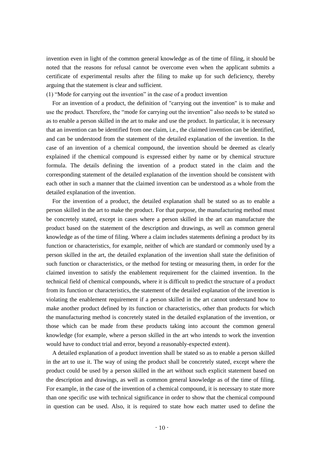invention even in light of the common general knowledge as of the time of filing, it should be noted that the reasons for refusal cannot be overcome even when the applicant submits a certificate of experimental results after the filing to make up for such deficiency, thereby arguing that the statement is clear and sufficient.

(1) "Mode for carrying out the invention" in the case of a product invention

For an invention of a product, the definition of "carrying out the invention" is to make and use the product. Therefore, the "mode for carrying out the invention" also needs to be stated so as to enable a person skilled in the art to make and use the product. In particular, it is necessary that an invention can be identified from one claim, i.e., the claimed invention can be identified, and can be understood from the statement of the detailed explanation of the invention. In the case of an invention of a chemical compound, the invention should be deemed as clearly explained if the chemical compound is expressed either by name or by chemical structure formula. The details defining the invention of a product stated in the claim and the corresponding statement of the detailed explanation of the invention should be consistent with each other in such a manner that the claimed invention can be understood as a whole from the detailed explanation of the invention.

For the invention of a product, the detailed explanation shall be stated so as to enable a person skilled in the art to make the product. For that purpose, the manufacturing method must be concretely stated, except in cases where a person skilled in the art can manufacture the product based on the statement of the description and drawings, as well as common general knowledge as of the time of filing. Where a claim includes statements defining a product by its function or characteristics, for example, neither of which are standard or commonly used by a person skilled in the art, the detailed explanation of the invention shall state the definition of such function or characteristics, or the method for testing or measuring them, in order for the claimed invention to satisfy the enablement requirement for the claimed invention. In the technical field of chemical compounds, where it is difficult to predict the structure of a product from its function or characteristics, the statement of the detailed explanation of the invention is violating the enablement requirement if a person skilled in the art cannot understand how to make another product defined by its function or characteristics, other than products for which the manufacturing method is concretely stated in the detailed explanation of the invention, or those which can be made from these products taking into account the common general knowledge (for example, where a person skilled in the art who intends to work the invention would have to conduct trial and error, beyond a reasonably-expected extent).

A detailed explanation of a product invention shall be stated so as to enable a person skilled in the art to use it. The way of using the product shall be concretely stated, except where the product could be used by a person skilled in the art without such explicit statement based on the description and drawings, as well as common general knowledge as of the time of filing. For example, in the case of the invention of a chemical compound, it is necessary to state more than one specific use with technical significance in order to show that the chemical compound in question can be used. Also, it is required to state how each matter used to define the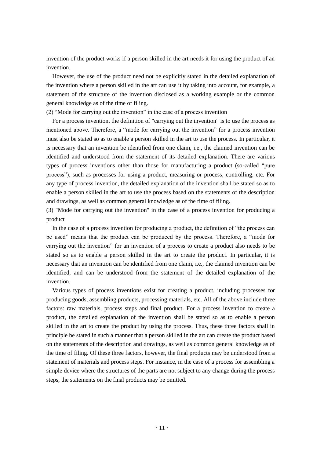invention of the product works if a person skilled in the art needs it for using the product of an invention.

However, the use of the product need not be explicitly stated in the detailed explanation of the invention where a person skilled in the art can use it by taking into account, for example, a statement of the structure of the invention disclosed as a working example or the common general knowledge as of the time of filing.

(2) "Mode for carrying out the invention" in the case of a process invention

For a process invention, the definition of "carrying out the invention" is to use the process as mentioned above. Therefore, a "mode for carrying out the invention" for a process invention must also be stated so as to enable a person skilled in the art to use the process. In particular, it is necessary that an invention be identified from one claim, i.e., the claimed invention can be identified and understood from the statement of its detailed explanation. There are various types of process inventions other than those for manufacturing a product (so-called "pure process"), such as processes for using a product, measuring or process, controlling, etc. For any type of process invention, the detailed explanation of the invention shall be stated so as to enable a person skilled in the art to use the process based on the statements of the description and drawings, as well as common general knowledge as of the time of filing.

(3) "Mode for carrying out the invention" in the case of a process invention for producing a product

In the case of a process invention for producing a product, the definition of "the process can be used" means that the product can be produced by the process. Therefore, a "mode for carrying out the invention" for an invention of a process to create a product also needs to be stated so as to enable a person skilled in the art to create the product. In particular, it is necessary that an invention can be identified from one claim, i.e., the claimed invention can be identified, and can be understood from the statement of the detailed explanation of the invention.

Various types of process inventions exist for creating a product, including processes for producing goods, assembling products, processing materials, etc. All of the above include three factors: raw materials, process steps and final product. For a process invention to create a product, the detailed explanation of the invention shall be stated so as to enable a person skilled in the art to create the product by using the process. Thus, these three factors shall in principle be stated in such a manner that a person skilled in the art can create the product based on the statements of the description and drawings, as well as common general knowledge as of the time of filing. Of these three factors, however, the final products may be understood from a statement of materials and process steps. For instance, in the case of a process for assembling a simple device where the structures of the parts are not subject to any change during the process steps, the statements on the final products may be omitted.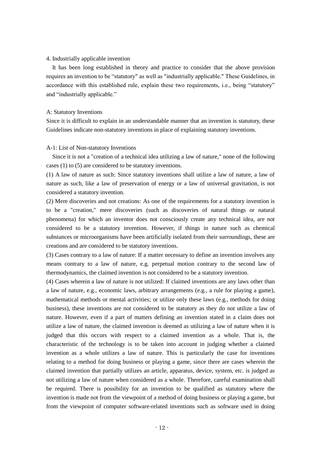#### 4. Industrially applicable invention

It has been long established in theory and practice to consider that the above provision requires an invention to be "statutory" as well as "industrially applicable." These Guidelines, in accordance with this established rule, explain these two requirements, i.e., being "statutory" and "industrially applicable."

#### A: Statutory Inventions

Since it is difficult to explain in an understandable manner that an invention is statutory, these Guidelines indicate non-statutory inventions in place of explaining statutory inventions.

#### A-1: List of Non-statutory Inventions

Since it is not a "creation of a technical idea utilizing a law of nature," none of the following cases (1) to (5) are considered to be statutory inventions.

(1) A law of nature as such: Since statutory inventions shall utilize a law of nature, a law of nature as such, like a law of preservation of energy or a law of universal gravitation, is not considered a statutory invention.

(2) Mere discoveries and not creations: As one of the requirements for a statutory invention is to be a "creation," mere discoveries (such as discoveries of natural things or natural phenomena) for which an inventor does not consciously create any technical idea, are not considered to be a statutory invention. However, if things in nature such as chemical substances or microorganisms have been artificially isolated from their surroundings, these are creations and are considered to be statutory inventions.

(3) Cases contrary to a law of nature: If a matter necessary to define an invention involves any means contrary to a law of nature, e.g. perpetual motion contrary to the second law of thermodynamics, the claimed invention is not considered to be a statutory invention.

(4) Cases wherein a law of nature is not utilized: If claimed inventions are any laws other than a law of nature, e.g., economic laws, arbitrary arrangements (e.g., a rule for playing a game), mathematical methods or mental activities; or utilize only these laws (e.g., methods for doing business), these inventions are not considered to be statutory as they do not utilize a law of nature. However, even if a part of matters defining an invention stated in a claim does not utilize a law of nature, the claimed invention is deemed as utilizing a law of nature when it is judged that this occurs with respect to a claimed invention as a whole. That is, the characteristic of the technology is to be taken into account in judging whether a claimed invention as a whole utilizes a law of nature. This is particularly the case for inventions relating to a method for doing business or playing a game, since there are cases wherein the claimed invention that partially utilizes an article, apparatus, device, system, etc. is judged as not utilizing a law of nature when considered as a whole. Therefore, careful examination shall be required. There is possibility for an invention to be qualified as statutory where the invention is made not from the viewpoint of a method of doing business or playing a game, but from the viewpoint of computer software-related inventions such as software used in doing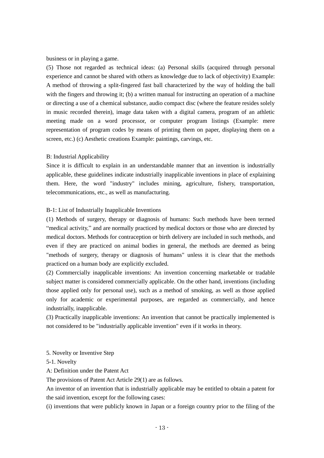business or in playing a game.

(5) Those not regarded as technical ideas: (a) Personal skills (acquired through personal experience and cannot be shared with others as knowledge due to lack of objectivity) Example: A method of throwing a split-fingered fast ball characterized by the way of holding the ball with the fingers and throwing it; (b) a written manual for instructing an operation of a machine or directing a use of a chemical substance, audio compact disc (where the feature resides solely in music recorded therein), image data taken with a digital camera, program of an athletic meeting made on a word processor, or computer program listings (Example: mere representation of program codes by means of printing them on paper, displaying them on a screen, etc.) (c) Aesthetic creations Example: paintings, carvings, etc.

# B: Industrial Applicability

Since it is difficult to explain in an understandable manner that an invention is industrially applicable, these guidelines indicate industrially inapplicable inventions in place of explaining them. Here, the word "industry" includes mining, agriculture, fishery, transportation, telecommunications, etc., as well as manufacturing.

# B-1: List of Industrially Inapplicable Inventions

(1) Methods of surgery, therapy or diagnosis of humans: Such methods have been termed "medical activity," and are normally practiced by medical doctors or those who are directed by medical doctors. Methods for contraception or birth delivery are included in such methods, and even if they are practiced on animal bodies in general, the methods are deemed as being "methods of surgery, therapy or diagnosis of humans" unless it is clear that the methods practiced on a human body are explicitly excluded.

(2) Commercially inapplicable inventions: An invention concerning marketable or tradable subject matter is considered commercially applicable. On the other hand, inventions (including those applied only for personal use), such as a method of smoking, as well as those applied only for academic or experimental purposes, are regarded as commercially, and hence industrially, inapplicable.

(3) Practically inapplicable inventions: An invention that cannot be practically implemented is not considered to be "industrially applicable invention" even if it works in theory.

5. Novelty or Inventive Step

5-1. Novelty

A: Definition under the Patent Act

The provisions of Patent Act Article 29(1) are as follows.

An inventor of an invention that is industrially applicable may be entitled to obtain a patent for the said invention, except for the following cases:

(i) inventions that were publicly known in Japan or a foreign country prior to the filing of the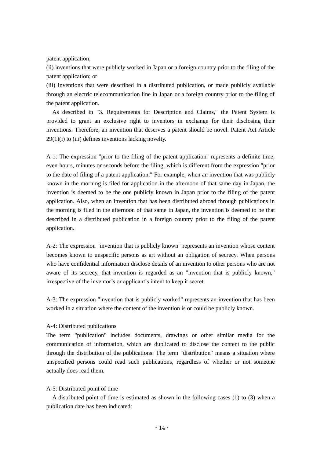patent application:

(ii) inventions that were publicly worked in Japan or a foreign country prior to the filing of the patent application; or

(iii) inventions that were described in a distributed publication, or made publicly available through an electric telecommunication line in Japan or a foreign country prior to the filing of the patent application.

As described in "3. Requirements for Description and Claims," the Patent System is provided to grant an exclusive right to inventors in exchange for their disclosing their inventions. Therefore, an invention that deserves a patent should be novel. Patent Act Article  $29(1)(i)$  to (iii) defines inventions lacking novelty.

A-1: The expression "prior to the filing of the patent application" represents a definite time, even hours, minutes or seconds before the filing, which is different from the expression "prior to the date of filing of a patent application." For example, when an invention that was publicly known in the morning is filed for application in the afternoon of that same day in Japan, the invention is deemed to be the one publicly known in Japan prior to the filing of the patent application. Also, when an invention that has been distributed abroad through publications in the morning is filed in the afternoon of that same in Japan, the invention is deemed to be that described in a distributed publication in a foreign country prior to the filing of the patent application.

A-2: The expression "invention that is publicly known" represents an invention whose content becomes known to unspecific persons as art without an obligation of secrecy. When persons who have confidential information disclose details of an invention to other persons who are not aware of its secrecy, that invention is regarded as an "invention that is publicly known," irrespective of the inventor's or applicant's intent to keep it secret.

A-3: The expression "invention that is publicly worked" represents an invention that has been worked in a situation where the content of the invention is or could be publicly known.

# A-4: Distributed publications

The term "publication" includes documents, drawings or other similar media for the communication of information, which are duplicated to disclose the content to the public through the distribution of the publications. The term "distribution" means a situation where unspecified persons could read such publications, regardless of whether or not someone actually does read them.

# A-5: Distributed point of time

A distributed point of time is estimated as shown in the following cases (1) to (3) when a publication date has been indicated: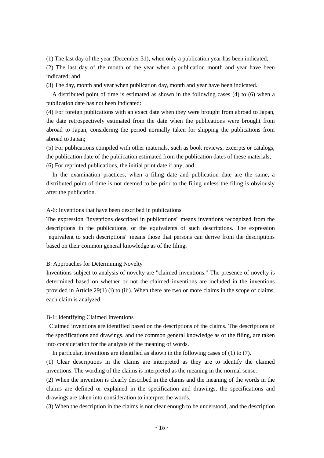(1) The last day of the year (December 31), when only a publication year has been indicated;

(2) The last day of the month of the year when a publication month and year have been indicated; and

(3) The day, month and year when publication day, month and year have been indicated.

A distributed point of time is estimated as shown in the following cases (4) to (6) when a publication date has not been indicated:

(4) For foreign publications with an exact date when they were brought from abroad to Japan, the date retrospectively estimated from the date when the publications were brought from abroad to Japan, considering the period normally taken for shipping the publications from abroad to Japan;

(5) For publications compiled with other materials, such as book reviews, excerpts or catalogs, the publication date of the publication estimated from the publication dates of these materials; (6) For reprinted publications, the initial print date if any; and

In the examination practices, when a filing date and publication date are the same, a distributed point of time is not deemed to be prior to the filing unless the filing is obviously after the publication.

A-6: Inventions that have been described in publications

The expression "inventions described in publications" means inventions recognized from the descriptions in the publications, or the equivalents of such descriptions. The expression "equivalent to such descriptions" means those that persons can derive from the descriptions based on their common general knowledge as of the filing.

#### B: Approaches for Determining Novelty

Inventions subject to analysis of novelty are "claimed inventions." The presence of novelty is determined based on whether or not the claimed inventions are included in the inventions provided in Article  $29(1)$  (i) to (iii). When there are two or more claims in the scope of claims, each claim is analyzed.

#### B-1: Identifying Claimed Inventions

Claimed inventions are identified based on the descriptions of the claims. The descriptions of the specifications and drawings, and the common general knowledge as of the filing, are taken into consideration for the analysis of the meaning of words.

In particular, inventions are identified as shown in the following cases of  $(1)$  to  $(7)$ .

(1) Clear descriptions in the claims are interpreted as they are to identify the claimed inventions. The wording of the claims is interpreted as the meaning in the normal sense.

(2) When the invention is clearly described in the claims and the meaning of the words in the claims are defined or explained in the specification and drawings, the specifications and drawings are taken into consideration to interpret the words.

(3) When the description in the claims is not clear enough to be understood, and the description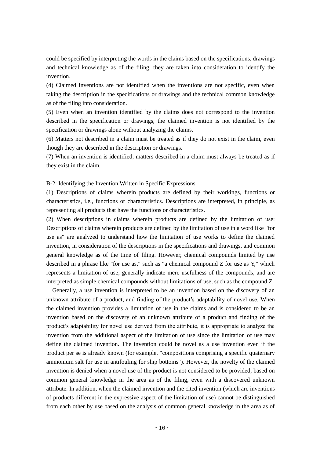could be specified by interpreting the words in the claims based on the specifications, drawings and technical knowledge as of the filing, they are taken into consideration to identify the invention.

(4) Claimed inventions are not identified when the inventions are not specific, even when taking the description in the specifications or drawings and the technical common knowledge as of the filing into consideration.

(5) Even when an invention identified by the claims does not correspond to the invention described in the specification or drawings, the claimed invention is not identified by the specification or drawings alone without analyzing the claims.

(6) Matters not described in a claim must be treated as if they do not exist in the claim, even though they are described in the description or drawings.

(7) When an invention is identified, matters described in a claim must always be treated as if they exist in the claim.

B-2: Identifying the Invention Written in Specific Expressions

(1) Descriptions of claims wherein products are defined by their workings, functions or characteristics, i.e., functions or characteristics. Descriptions are interpreted, in principle, as representing all products that have the functions or characteristics.

(2) When descriptions in claims wherein products are defined by the limitation of use: Descriptions of claims wherein products are defined by the limitation of use in a word like "for use as" are analyzed to understand how the limitation of use works to define the claimed invention, in consideration of the descriptions in the specifications and drawings, and common general knowledge as of the time of filing. However, chemical compounds limited by use described in a phrase like "for use as," such as "a chemical compound  $Z$  for use as  $Y$ ," which represents a limitation of use, generally indicate mere usefulness of the compounds, and are interpreted as simple chemical compounds without limitations of use, such as the compound Z.

Generally, a use invention is interpreted to be an invention based on the discovery of an unknown attribute of a product, and finding of the product's adaptability of novel use. When the claimed invention provides a limitation of use in the claims and is considered to be an invention based on the discovery of an unknown attribute of a product and finding of the product's adaptability for novel use derived from the attribute, it is appropriate to analyze the invention from the additional aspect of the limitation of use since the limitation of use may define the claimed invention. The invention could be novel as a use invention even if the product per se is already known (for example, "compositions comprising a specific quaternary ammonium salt for use in antifouling for ship bottoms"). However, the novelty of the claimed invention is denied when a novel use of the product is not considered to be provided, based on common general knowledge in the area as of the filing, even with a discovered unknown attribute. In addition, when the claimed invention and the cited invention (which are inventions of products different in the expressive aspect of the limitation of use) cannot be distinguished from each other by use based on the analysis of common general knowledge in the area as of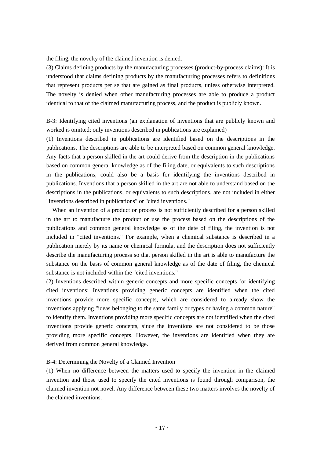the filing, the novelty of the claimed invention is denied.

(3) Claims defining products by the manufacturing processes (product-by-process claims): It is understood that claims defining products by the manufacturing processes refers to definitions that represent products per se that are gained as final products, unless otherwise interpreted. The novelty is denied when other manufacturing processes are able to produce a product identical to that of the claimed manufacturing process, and the product is publicly known.

B-3: Identifying cited inventions (an explanation of inventions that are publicly known and worked is omitted; only inventions described in publications are explained)

(1) Inventions described in publications are identified based on the descriptions in the publications. The descriptions are able to be interpreted based on common general knowledge. Any facts that a person skilled in the art could derive from the description in the publications based on common general knowledge as of the filing date, or equivalents to such descriptions in the publications, could also be a basis for identifying the inventions described in publications. Inventions that a person skilled in the art are not able to understand based on the descriptions in the publications, or equivalents to such descriptions, are not included in either "inventions described in publications" or "cited inventions."

When an invention of a product or process is not sufficiently described for a person skilled in the art to manufacture the product or use the process based on the descriptions of the publications and common general knowledge as of the date of filing, the invention is not included in "cited inventions." For example, when a chemical substance is described in a publication merely by its name or chemical formula, and the description does not sufficiently describe the manufacturing process so that person skilled in the art is able to manufacture the substance on the basis of common general knowledge as of the date of filing, the chemical substance is not included within the "cited inventions."

(2) Inventions described within generic concepts and more specific concepts for identifying cited inventions: Inventions providing generic concepts are identified when the cited inventions provide more specific concepts, which are considered to already show the inventions applying "ideas belonging to the same family or types or having a common nature" to identify them. Inventions providing more specific concepts are not identified when the cited inventions provide generic concepts, since the inventions are not considered to be those providing more specific concepts. However, the inventions are identified when they are derived from common general knowledge.

#### B-4: Determining the Novelty of a Claimed Invention

(1) When no difference between the matters used to specify the invention in the claimed invention and those used to specify the cited inventions is found through comparison, the claimed invention not novel. Any difference between these two matters involves the novelty of the claimed inventions.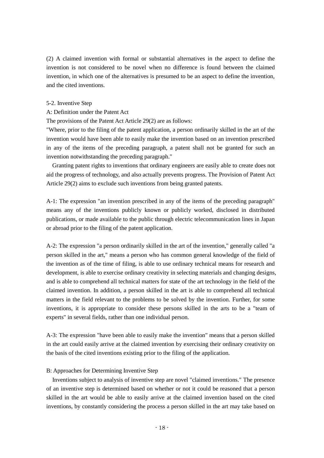(2) A claimed invention with formal or substantial alternatives in the aspect to define the invention is not considered to be novel when no difference is found between the claimed invention, in which one of the alternatives is presumed to be an aspect to define the invention, and the cited inventions.

#### 5-2. Inventive Step

# A: Definition under the Patent Act

The provisions of the Patent Act Article 29(2) are as follows:

"Where, prior to the filing of the patent application, a person ordinarily skilled in the art of the invention would have been able to easily make the invention based on an invention prescribed in any of the items of the preceding paragraph, a patent shall not be granted for such an invention notwithstanding the preceding paragraph."

Granting patent rights to inventions that ordinary engineers are easily able to create does not aid the progress of technology, and also actually prevents progress. The Provision of Patent Act Article 29(2) aims to exclude such inventions from being granted patents.

A-1: The expression "an invention prescribed in any of the items of the preceding paragraph" means any of the inventions publicly known or publicly worked, disclosed in distributed publications, or made available to the public through electric telecommunication lines in Japan or abroad prior to the filing of the patent application.

A-2: The expression "a person ordinarily skilled in the art of the invention," generally called "a person skilled in the art," means a person who has common general knowledge of the field of the invention as of the time of filing, is able to use ordinary technical means for research and development, is able to exercise ordinary creativity in selecting materials and changing designs, and is able to comprehend all technical matters for state of the art technology in the field of the claimed invention. In addition, a person skilled in the art is able to comprehend all technical matters in the field relevant to the problems to be solved by the invention. Further, for some inventions, it is appropriate to consider these persons skilled in the arts to be a "team of experts" in several fields, rather than one individual person.

A-3: The expression "have been able to easily make the invention" means that a person skilled in the art could easily arrive at the claimed invention by exercising their ordinary creativity on the basis of the cited inventions existing prior to the filing of the application.

#### B: Approaches for Determining Inventive Step

Inventions subject to analysis of inventive step are novel "claimed inventions." The presence of an inventive step is determined based on whether or not it could be reasoned that a person skilled in the art would be able to easily arrive at the claimed invention based on the cited inventions, by constantly considering the process a person skilled in the art may take based on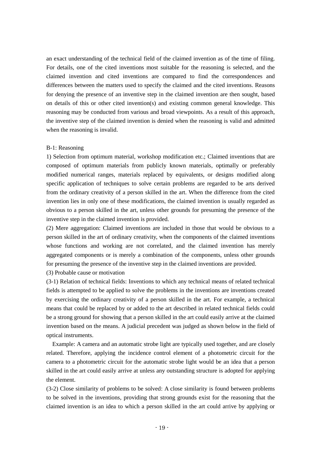an exact understanding of the technical field of the claimed invention as of the time of filing. For details, one of the cited inventions most suitable for the reasoning is selected, and the claimed invention and cited inventions are compared to find the correspondences and differences between the matters used to specify the claimed and the cited inventions. Reasons for denying the presence of an inventive step in the claimed invention are then sought, based on details of this or other cited invention(s) and existing common general knowledge. This reasoning may be conducted from various and broad viewpoints. As a result of this approach, the inventive step of the claimed invention is denied when the reasoning is valid and admitted when the reasoning is invalid.

#### B-1: Reasoning

1) Selection from optimum material, workshop modification etc.; Claimed inventions that are composed of optimum materials from publicly known materials, optimally or preferably modified numerical ranges, materials replaced by equivalents, or designs modified along specific application of techniques to solve certain problems are regarded to be arts derived from the ordinary creativity of a person skilled in the art. When the difference from the cited invention lies in only one of these modifications, the claimed invention is usually regarded as obvious to a person skilled in the art, unless other grounds for presuming the presence of the inventive step in the claimed invention is provided.

(2) Mere aggregation: Claimed inventions are included in those that would be obvious to a person skilled in the art of ordinary creativity, when the components of the claimed inventions whose functions and working are not correlated, and the claimed invention has merely aggregated components or is merely a combination of the components, unless other grounds for presuming the presence of the inventive step in the claimed inventions are provided.

(3) Probable cause or motivation

(3-1) Relation of technical fields: Inventions to which any technical means of related technical fields is attempted to be applied to solve the problems in the inventions are inventions created by exercising the ordinary creativity of a person skilled in the art. For example, a technical means that could be replaced by or added to the art described in related technical fields could be a strong ground for showing that a person skilled in the art could easily arrive at the claimed invention based on the means. A judicial precedent was judged as shown below in the field of optical instruments.

Example: A camera and an automatic strobe light are typically used together, and are closely related. Therefore, applying the incidence control element of a photometric circuit for the camera to a photometric circuit for the automatic strobe light would be an idea that a person skilled in the art could easily arrive at unless any outstanding structure is adopted for applying the element.

(3-2) Close similarity of problems to be solved: A close similarity is found between problems to be solved in the inventions, providing that strong grounds exist for the reasoning that the claimed invention is an idea to which a person skilled in the art could arrive by applying or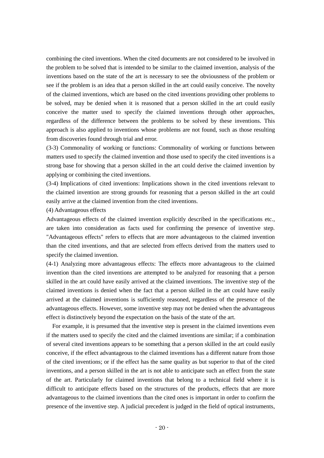combining the cited inventions. When the cited documents are not considered to be involved in the problem to be solved that is intended to be similar to the claimed invention, analysis of the inventions based on the state of the art is necessary to see the obviousness of the problem or see if the problem is an idea that a person skilled in the art could easily conceive. The novelty of the claimed inventions, which are based on the cited inventions providing other problems to be solved, may be denied when it is reasoned that a person skilled in the art could easily conceive the matter used to specify the claimed inventions through other approaches, regardless of the difference between the problems to be solved by these inventions. This approach is also applied to inventions whose problems are not found, such as those resulting from discoveries found through trial and error.

(3-3) Commonality of working or functions: Commonality of working or functions between matters used to specify the claimed invention and those used to specify the cited inventions is a strong base for showing that a person skilled in the art could derive the claimed invention by applying or combining the cited inventions.

(3-4) Implications of cited inventions: Implications shown in the cited inventions relevant to the claimed invention are strong grounds for reasoning that a person skilled in the art could easily arrive at the claimed invention from the cited inventions.

#### (4) Advantageous effects

Advantageous effects of the claimed invention explicitly described in the specifications etc., are taken into consideration as facts used for confirming the presence of inventive step. "Advantageous effects" refers to effects that are more advantageous to the claimed invention than the cited inventions, and that are selected from effects derived from the matters used to specify the claimed invention.

(4-1) Analyzing more advantageous effects: The effects more advantageous to the claimed invention than the cited inventions are attempted to be analyzed for reasoning that a person skilled in the art could have easily arrived at the claimed inventions. The inventive step of the claimed inventions is denied when the fact that a person skilled in the art could have easily arrived at the claimed inventions is sufficiently reasoned, regardless of the presence of the advantageous effects. However, some inventive step may not be denied when the advantageous effect is distinctively beyond the expectation on the basis of the state of the art.

For example, it is presumed that the inventive step is present in the claimed inventions even if the matters used to specify the cited and the claimed inventions are similar; if a combination of several cited inventions appears to be something that a person skilled in the art could easily conceive, if the effect advantageous to the claimed inventions has a different nature from those of the cited inventions; or if the effect has the same quality as but superior to that of the cited inventions, and a person skilled in the art is not able to anticipate such an effect from the state of the art. Particularly for claimed inventions that belong to a technical field where it is difficult to anticipate effects based on the structures of the products, effects that are more advantageous to the claimed inventions than the cited ones is important in order to confirm the presence of the inventive step. A judicial precedent is judged in the field of optical instruments,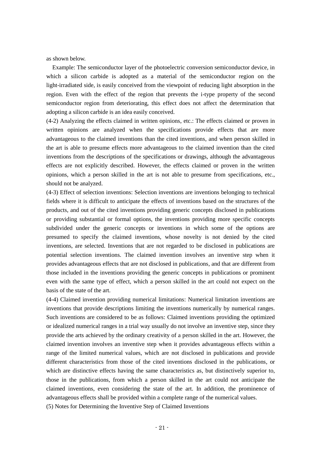as shown below.

Example: The semiconductor layer of the photoelectric conversion semiconductor device, in which a silicon carbide is adopted as a material of the semiconductor region on the light-irradiated side, is easily conceived from the viewpoint of reducing light absorption in the region. Even with the effect of the region that prevents the i-type property of the second semiconductor region from deteriorating, this effect does not affect the determination that adopting a silicon carbide is an idea easily conceived.

(4-2) Analyzing the effects claimed in written opinions, etc.: The effects claimed or proven in written opinions are analyzed when the specifications provide effects that are more advantageous to the claimed inventions than the cited inventions, and when person skilled in the art is able to presume effects more advantageous to the claimed invention than the cited inventions from the descriptions of the specifications or drawings, although the advantageous effects are not explicitly described. However, the effects claimed or proven in the written opinions, which a person skilled in the art is not able to presume from specifications, etc., should not be analyzed.

(4-3) Effect of selection inventions: Selection inventions are inventions belonging to technical fields where it is difficult to anticipate the effects of inventions based on the structures of the products, and out of the cited inventions providing generic concepts disclosed in publications or providing substantial or formal options, the inventions providing more specific concepts subdivided under the generic concepts or inventions in which some of the options are presumed to specify the claimed inventions, whose novelty is not denied by the cited inventions, are selected. Inventions that are not regarded to be disclosed in publications are potential selection inventions. The claimed invention involves an inventive step when it provides advantageous effects that are not disclosed in publications, and that are different from those included in the inventions providing the generic concepts in publications or prominent even with the same type of effect, which a person skilled in the art could not expect on the basis of the state of the art.

(4-4) Claimed invention providing numerical limitations: Numerical limitation inventions are inventions that provide descriptions limiting the inventions numerically by numerical ranges. Such inventions are considered to be as follows: Claimed inventions providing the optimized or idealized numerical ranges in a trial way usually do not involve an inventive step, since they provide the arts achieved by the ordinary creativity of a person skilled in the art. However, the claimed invention involves an inventive step when it provides advantageous effects within a range of the limited numerical values, which are not disclosed in publications and provide different characteristics from those of the cited inventions disclosed in the publications, or which are distinctive effects having the same characteristics as, but distinctively superior to, those in the publications, from which a person skilled in the art could not anticipate the claimed inventions, even considering the state of the art. In addition, the prominence of advantageous effects shall be provided within a complete range of the numerical values.

(5) Notes for Determining the Inventive Step of Claimed Inventions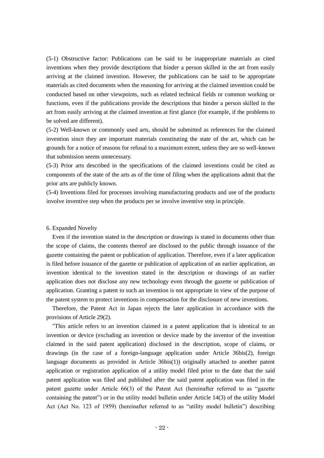(5-1) Obstructive factor: Publications can be said to be inappropriate materials as cited inventions when they provide descriptions that hinder a person skilled in the art from easily arriving at the claimed invention. However, the publications can be said to be appropriate materials as cited documents when the reasoning for arriving at the claimed invention could be conducted based on other viewpoints, such as related technical fields or common working or functions, even if the publications provide the descriptions that hinder a person skilled in the art from easily arriving at the claimed invention at first glance (for example, if the problems to be solved are different).

(5-2) Well-known or commonly used arts, should be submitted as references for the claimed invention since they are important materials constituting the state of the art, which can be grounds for a notice of reasons for refusal to a maximum extent, unless they are so well-known that submission seems unnecessary.

(5-3) Prior arts described in the specifications of the claimed inventions could be cited as components of the state of the arts as of the time of filing when the applications admit that the prior arts are publicly known.

(5-4) Inventions filed for processes involving manufacturing products and use of the products involve inventive step when the products per se involve inventive step in principle.

# 6. Expanded Novelty

Even if the invention stated in the description or drawings is stated in documents other than the scope of claims, the contents thereof are disclosed to the public through issuance of the gazette containing the patent or publication of application. Therefore, even if a later application is filed before issuance of the gazette or publication of application of an earlier application, an invention identical to the invention stated in the description or drawings of an earlier application does not disclose any new technology even through the gazette or publication of application. Granting a patent to such an invention is not appropriate in view of the purpose of the patent system to protect inventions in compensation for the disclosure of new inventions.

Therefore, the Patent Act in Japan rejects the later application in accordance with the provisions of Article 29(2).

 "This article refers to an invention claimed in a patent application that is identical to an invention or device (excluding an invention or device made by the inventor of the invention claimed in the said patent application) disclosed in the description, scope of claims, or drawings (in the case of a foreign-language application under Article 36bis(2), foreign language documents as provided in Article 36bis(1)) originally attached to another patent application or registration application of a utility model filed prior to the date that the said patent application was filed and published after the said patent application was filed in the patent gazette under Article 66(3) of the Patent Act (hereinafter referred to as "gazette containing the patent") or in the utility model bulletin under Article 14(3) of the utility Model Act (Act No. 123 of 1959) (hereinafter referred to as "utility model bulletin") describing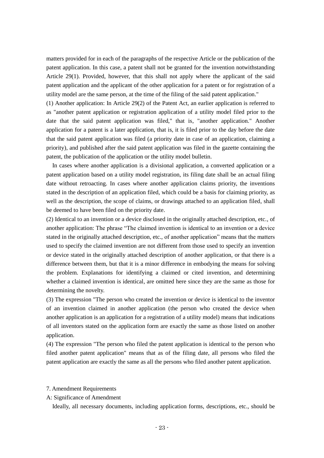matters provided for in each of the paragraphs of the respective Article or the publication of the patent application. In this case, a patent shall not be granted for the invention notwithstanding Article 29(1). Provided, however, that this shall not apply where the applicant of the said patent application and the applicant of the other application for a patent or for registration of a utility model are the same person, at the time of the filing of the said patent application."

(1) Another application: In Article 29(2) of the Patent Act, an earlier application is referred to as "another patent application or registration application of a utility model filed prior to the date that the said patent application was filed," that is, "another application." Another application for a patent is a later application, that is, it is filed prior to the day before the date that the said patent application was filed (a priority date in case of an application, claiming a priority), and published after the said patent application was filed in the gazette containing the patent, the publication of the application or the utility model bulletin.

In cases where another application is a divisional application, a converted application or a patent application based on a utility model registration, its filing date shall be an actual filing date without retroacting. In cases where another application claims priority, the inventions stated in the description of an application filed, which could be a basis for claiming priority, as well as the description, the scope of claims, or drawings attached to an application filed, shall be deemed to have been filed on the priority date.

(2) Identical to an invention or a device disclosed in the originally attached description, etc., of another application: The phrase "The claimed invention is identical to an invention or a device stated in the originally attached description, etc., of another application" means that the matters used to specify the claimed invention are not different from those used to specify an invention or device stated in the originally attached description of another application, or that there is a difference between them, but that it is a minor difference in embodying the means for solving the problem. Explanations for identifying a claimed or cited invention, and determining whether a claimed invention is identical, are omitted here since they are the same as those for determining the novelty.

(3) The expression "The person who created the invention or device is identical to the inventor of an invention claimed in another application (the person who created the device when another application is an application for a registration of a utility model) means that indications of all inventors stated on the application form are exactly the same as those listed on another application.

(4) The expression "The person who filed the patent application is identical to the person who filed another patent application" means that as of the filing date, all persons who filed the patent application are exactly the same as all the persons who filed another patent application.

#### 7. Amendment Requirements

#### A: Significance of Amendment

Ideally, all necessary documents, including application forms, descriptions, etc., should be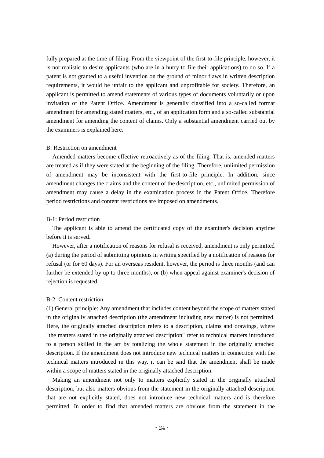fully prepared at the time of filing. From the viewpoint of the first-to-file principle, however, it is not realistic to desire applicants (who are in a hurry to file their applications) to do so. If a patent is not granted to a useful invention on the ground of minor flaws in written description requirements, it would be unfair to the applicant and unprofitable for society. Therefore, an applicant is permitted to amend statements of various types of documents voluntarily or upon invitation of the Patent Office. Amendment is generally classified into a so-called format amendment for amending stated matters, etc., of an application form and a so-called substantial amendment for amending the content of claims. Only a substantial amendment carried out by the examiners is explained here.

#### B: Restriction on amendment

Amended matters become effective retroactively as of the filing. That is, amended matters are treated as if they were stated at the beginning of the filing. Therefore, unlimited permission of amendment may be inconsistent with the first-to-file principle. In addition, since amendment changes the claims and the content of the description, etc., unlimited permission of amendment may cause a delay in the examination process in the Patent Office. Therefore period restrictions and content restrictions are imposed on amendments.

## B-1: Period restriction

The applicant is able to amend the certificated copy of the examiner's decision anytime before it is served.

However, after a notification of reasons for refusal is received, amendment is only permitted (a) during the period of submitting opinions in writing specified by a notification of reasons for refusal (or for 60 days). For an overseas resident, however, the period is three months (and can further be extended by up to three months), or (b) when appeal against examiner's decision of rejection is requested.

#### B-2: Content restriction

(1) General principle: Any amendment that includes content beyond the scope of matters stated in the originally attached description (the amendment including new matter) is not permitted. Here, the originally attached description refers to a description, claims and drawings, where "the matters stated in the originally attached description" refer to technical matters introduced to a person skilled in the art by totalizing the whole statement in the originally attached description. If the amendment does not introduce new technical matters in connection with the technical matters introduced in this way, it can be said that the amendment shall be made within a scope of matters stated in the originally attached description.

Making an amendment not only to matters explicitly stated in the originally attached description, but also matters obvious from the statement in the originally attached description that are not explicitly stated, does not introduce new technical matters and is therefore permitted. In order to find that amended matters are obvious from the statement in the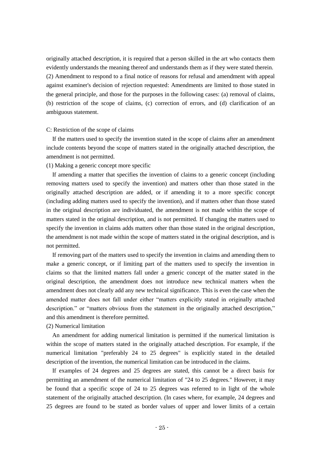originally attached description, it is required that a person skilled in the art who contacts them evidently understands the meaning thereof and understands them as if they were stated therein. (2) Amendment to respond to a final notice of reasons for refusal and amendment with appeal against examiner's decision of rejection requested: Amendments are limited to those stated in the general principle, and those for the purposes in the following cases: (a) removal of claims, (b) restriction of the scope of claims, (c) correction of errors, and (d) clarification of an ambiguous statement.

#### C: Restriction of the scope of claims

If the matters used to specify the invention stated in the scope of claims after an amendment include contents beyond the scope of matters stated in the originally attached description, the amendment is not permitted.

(1) Making a generic concept more specific

If amending a matter that specifies the invention of claims to a generic concept (including removing matters used to specify the invention) and matters other than those stated in the originally attached description are added, or if amending it to a more specific concept (including adding matters used to specify the invention), and if matters other than those stated in the original description are individuated, the amendment is not made within the scope of matters stated in the original description, and is not permitted. If changing the matters used to specify the invention in claims adds matters other than those stated in the original description, the amendment is not made within the scope of matters stated in the original description, and is not permitted.

If removing part of the matters used to specify the invention in claims and amending them to make a generic concept, or if limiting part of the matters used to specify the invention in claims so that the limited matters fall under a generic concept of the matter stated in the original description, the amendment does not introduce new technical matters when the amendment does not clearly add any new technical significance. This is even the case when the amended matter does not fall under either "matters explicitly stated in originally attached description." or "matters obvious from the statement in the originally attached description," and this amendment is therefore permitted.

(2) Numerical limitation

An amendment for adding numerical limitation is permitted if the numerical limitation is within the scope of matters stated in the originally attached description. For example, if the numerical limitation "preferably 24 to 25 degrees" is explicitly stated in the detailed description of the invention, the numerical limitation can be introduced in the claims.

If examples of 24 degrees and 25 degrees are stated, this cannot be a direct basis for permitting an amendment of the numerical limitation of "24 to 25 degrees." However, it may be found that a specific scope of 24 to 25 degrees was referred to in light of the whole statement of the originally attached description. (In cases where, for example, 24 degrees and 25 degrees are found to be stated as border values of upper and lower limits of a certain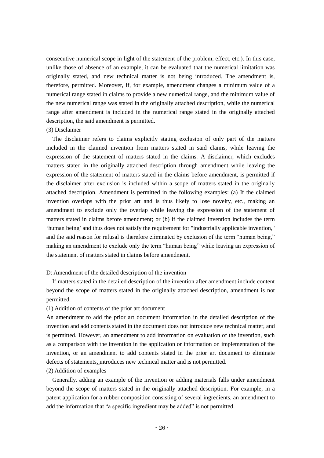consecutive numerical scope in light of the statement of the problem, effect, etc.). In this case, unlike those of absence of an example, it can be evaluated that the numerical limitation was originally stated, and new technical matter is not being introduced. The amendment is, therefore, permitted. Moreover, if, for example, amendment changes a minimum value of a numerical range stated in claims to provide a new numerical range, and the minimum value of the new numerical range was stated in the originally attached description, while the numerical range after amendment is included in the numerical range stated in the originally attached description, the said amendment is permitted.

#### (3) Disclaimer

The disclaimer refers to claims explicitly stating exclusion of only part of the matters included in the claimed invention from matters stated in said claims, while leaving the expression of the statement of matters stated in the claims. A disclaimer, which excludes matters stated in the originally attached description through amendment while leaving the expression of the statement of matters stated in the claims before amendment, is permitted if the disclaimer after exclusion is included within a scope of matters stated in the originally attached description. Amendment is permitted in the following examples: (a) If the claimed invention overlaps with the prior art and is thus likely to lose novelty, etc., making an amendment to exclude only the overlap while leaving the expression of the statement of matters stated in claims before amendment; or (b) if the claimed invention includes the term 'human being' and thus does not satisfy the requirement for "industrially applicable invention," and the said reason for refusal is therefore eliminated by exclusion of the term "human being," making an amendment to exclude only the term "human being" while leaving an expression of the statement of matters stated in claims before amendment.

#### D: Amendment of the detailed description of the invention

If matters stated in the detailed description of the invention after amendment include content beyond the scope of matters stated in the originally attached description, amendment is not permitted.

#### (1) Addition of contents of the prior art document

An amendment to add the prior art document information in the detailed description of the invention and add contents stated in the document does not introduce new technical matter, and is permitted. However, an amendment to add information on evaluation of the invention, such as a comparison with the invention in the application or information on implementation of the invention, or an amendment to add contents stated in the prior art document to eliminate defects of statements, introduces new technical matter and is not permitted.

#### (2) Addition of examples

Generally, adding an example of the invention or adding materials falls under amendment beyond the scope of matters stated in the originally attached description. For example, in a patent application for a rubber composition consisting of several ingredients, an amendment to add the information that "a specific ingredient may be added" is not permitted.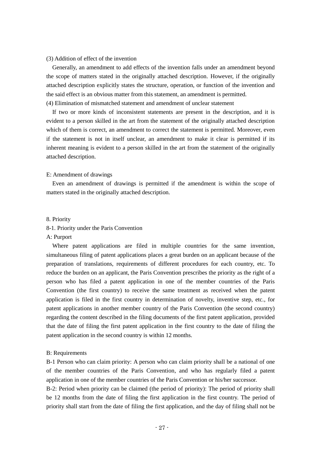#### (3) Addition of effect of the invention

Generally, an amendment to add effects of the invention falls under an amendment beyond the scope of matters stated in the originally attached description. However, if the originally attached description explicitly states the structure, operation, or function of the invention and the said effect is an obvious matter from this statement, an amendment is permitted. (4) Elimination of mismatched statement and amendment of unclear statement

If two or more kinds of inconsistent statements are present in the description, and it is evident to a person skilled in the art from the statement of the originally attached description which of them is correct, an amendment to correct the statement is permitted. Moreover, even if the statement is not in itself unclear, an amendment to make it clear is permitted if its inherent meaning is evident to a person skilled in the art from the statement of the originally attached description.

#### E: Amendment of drawings

Even an amendment of drawings is permitted if the amendment is within the scope of matters stated in the originally attached description.

# 8. Priority

#### 8-1. Priority under the Paris Convention

#### A: Purport

Where patent applications are filed in multiple countries for the same invention, simultaneous filing of patent applications places a great burden on an applicant because of the preparation of translations, requirements of different procedures for each country, etc. To reduce the burden on an applicant, the Paris Convention prescribes the priority as the right of a person who has filed a patent application in one of the member countries of the Paris Convention (the first country) to receive the same treatment as received when the patent application is filed in the first country in determination of novelty, inventive step, etc., for patent applications in another member country of the Paris Convention (the second country) regarding the content described in the filing documents of the first patent application, provided that the date of filing the first patent application in the first country to the date of filing the patent application in the second country is within 12 months.

# B: Requirements

B-1 Person who can claim priority: A person who can claim priority shall be a national of one of the member countries of the Paris Convention, and who has regularly filed a patent application in one of the member countries of the Paris Convention or his/her successor.

B-2: Period when priority can be claimed (the period of priority): The period of priority shall be 12 months from the date of filing the first application in the first country. The period of priority shall start from the date of filing the first application, and the day of filing shall not be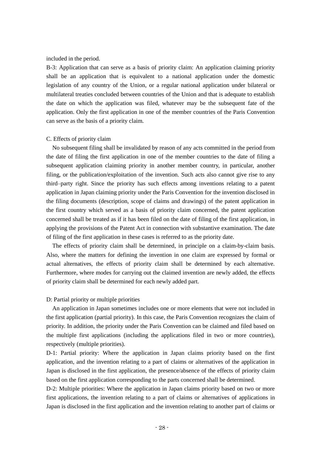included in the period.

B-3: Application that can serve as a basis of priority claim: An application claiming priority shall be an application that is equivalent to a national application under the domestic legislation of any country of the Union, or a regular national application under bilateral or multilateral treaties concluded between countries of the Union and that is adequate to establish the date on which the application was filed, whatever may be the subsequent fate of the application. Only the first application in one of the member countries of the Paris Convention can serve as the basis of a priority claim.

#### C. Effects of priority claim

No subsequent filing shall be invalidated by reason of any acts committed in the period from the date of filing the first application in one of the member countries to the date of filing a subsequent application claiming priority in another member country, in particular, another filing, or the publication/exploitation of the invention. Such acts also cannot give rise to any third–party right. Since the priority has such effects among inventions relating to a patent application in Japan claiming priority under the Paris Convention for the invention disclosed in the filing documents (description, scope of claims and drawings) of the patent application in the first country which served as a basis of priority claim concerned, the patent application concerned shall be treated as if it has been filed on the date of filing of the first application, in applying the provisions of the Patent Act in connection with substantive examination. The date of filing of the first application in these cases is referred to as the priority date.

The effects of priority claim shall be determined, in principle on a claim-by-claim basis. Also, where the matters for defining the invention in one claim are expressed by formal or actual alternatives, the effects of priority claim shall be determined by each alternative. Furthermore, where modes for carrying out the claimed invention are newly added, the effects of priority claim shall be determined for each newly added part.

#### D: Partial priority or multiple priorities

An application in Japan sometimes includes one or more elements that were not included in the first application (partial priority). In this case, the Paris Convention recognizes the claim of priority. In addition, the priority under the Paris Convention can be claimed and filed based on the multiple first applications (including the applications filed in two or more countries), respectively (multiple priorities).

D-1: Partial priority: Where the application in Japan claims priority based on the first application, and the invention relating to a part of claims or alternatives of the application in Japan is disclosed in the first application, the presence/absence of the effects of priority claim based on the first application corresponding to the parts concerned shall be determined.

D-2: Multiple priorities: Where the application in Japan claims priority based on two or more first applications, the invention relating to a part of claims or alternatives of applications in Japan is disclosed in the first application and the invention relating to another part of claims or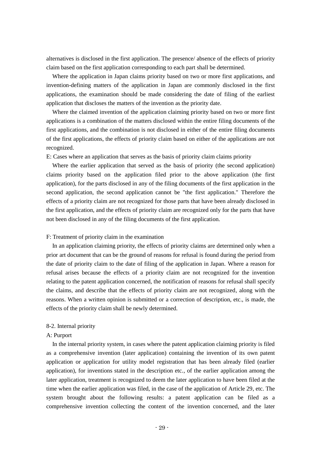alternatives is disclosed in the first application. The presence/ absence of the effects of priority claim based on the first application corresponding to each part shall be determined.

Where the application in Japan claims priority based on two or more first applications, and invention-defining matters of the application in Japan are commonly disclosed in the first applications, the examination should be made considering the date of filing of the earliest application that discloses the matters of the invention as the priority date.

Where the claimed invention of the application claiming priority based on two or more first applications is a combination of the matters disclosed within the entire filing documents of the first applications, and the combination is not disclosed in either of the entire filing documents of the first applications, the effects of priority claim based on either of the applications are not recognized.

E: Cases where an application that serves as the basis of priority claim claims priority

Where the earlier application that served as the basis of priority (the second application) claims priority based on the application filed prior to the above application (the first application), for the parts disclosed in any of the filing documents of the first application in the second application, the second application cannot be "the first application." Therefore the effects of a priority claim are not recognized for those parts that have been already disclosed in the first application, and the effects of priority claim are recognized only for the parts that have not been disclosed in any of the filing documents of the first application.

# F: Treatment of priority claim in the examination

In an application claiming priority, the effects of priority claims are determined only when a prior art document that can be the ground of reasons for refusal is found during the period from the date of priority claim to the date of filing of the application in Japan. Where a reason for refusal arises because the effects of a priority claim are not recognized for the invention relating to the patent application concerned, the notification of reasons for refusal shall specify the claims, and describe that the effects of priority claim are not recognized, along with the reasons. When a written opinion is submitted or a correction of description, etc., is made, the effects of the priority claim shall be newly determined.

# 8-2. Internal priority

## A: Purport

In the internal priority system, in cases where the patent application claiming priority is filed as a comprehensive invention (later application) containing the invention of its own patent application or application for utility model registration that has been already filed (earlier application), for inventions stated in the description etc., of the earlier application among the later application, treatment is recognized to deem the later application to have been filed at the time when the earlier application was filed, in the case of the application of Article 29, etc. The system brought about the following results: a patent application can be filed as a comprehensive invention collecting the content of the invention concerned, and the later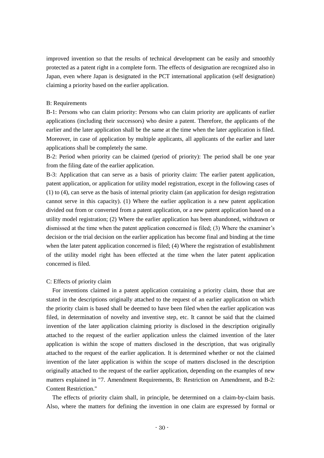improved invention so that the results of technical development can be easily and smoothly protected as a patent right in a complete form. The effects of designation are recognized also in Japan, even where Japan is designated in the PCT international application (self designation) claiming a priority based on the earlier application.

#### B: Requirements

B-1: Persons who can claim priority: Persons who can claim priority are applicants of earlier applications (including their successors) who desire a patent. Therefore, the applicants of the earlier and the later application shall be the same at the time when the later application is filed. Moreover, in case of application by multiple applicants, all applicants of the earlier and later applications shall be completely the same.

B-2: Period when priority can be claimed (period of priority): The period shall be one year from the filing date of the earlier application.

B-3: Application that can serve as a basis of priority claim: The earlier patent application, patent application, or application for utility model registration, except in the following cases of (1) to (4), can serve as the basis of internal priority claim (an application for design registration cannot serve in this capacity). (1) Where the earlier application is a new patent application divided out from or converted from a patent application, or a new patent application based on a utility model registration; (2) Where the earlier application has been abandoned, withdrawn or dismissed at the time when the patent application concerned is filed; (3) Where the examiner's decision or the trial decision on the earlier application has become final and binding at the time when the later patent application concerned is filed; (4) Where the registration of establishment of the utility model right has been effected at the time when the later patent application concerned is filed.

#### C: Effects of priority claim

For inventions claimed in a patent application containing a priority claim, those that are stated in the descriptions originally attached to the request of an earlier application on which the priority claim is based shall be deemed to have been filed when the earlier application was filed, in determination of novelty and inventive step, etc. It cannot be said that the claimed invention of the later application claiming priority is disclosed in the description originally attached to the request of the earlier application unless the claimed invention of the later application is within the scope of matters disclosed in the description, that was originally attached to the request of the earlier application. It is determined whether or not the claimed invention of the later application is within the scope of matters disclosed in the description originally attached to the request of the earlier application, depending on the examples of new matters explained in "7. Amendment Requirements, B: Restriction on Amendment, and B-2: Content Restriction."

The effects of priority claim shall, in principle, be determined on a claim-by-claim basis. Also, where the matters for defining the invention in one claim are expressed by formal or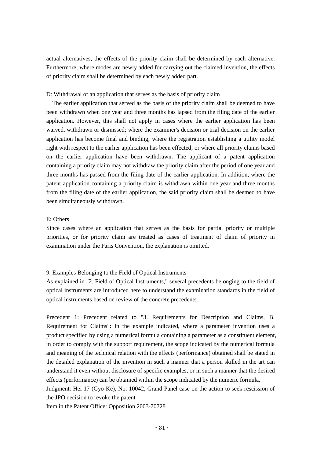actual alternatives, the effects of the priority claim shall be determined by each alternative. Furthermore, where modes are newly added for carrying out the claimed invention, the effects of priority claim shall be determined by each newly added part.

D: Withdrawal of an application that serves as the basis of priority claim

The earlier application that served as the basis of the priority claim shall be deemed to have been withdrawn when one year and three months has lapsed from the filing date of the earlier application. However, this shall not apply in cases where the earlier application has been waived, withdrawn or dismissed; where the examiner's decision or trial decision on the earlier application has become final and binding; where the registration establishing a utility model right with respect to the earlier application has been effected; or where all priority claims based on the earlier application have been withdrawn. The applicant of a patent application containing a priority claim may not withdraw the priority claim after the period of one year and three months has passed from the filing date of the earlier application. In addition, where the patent application containing a priority claim is withdrawn within one year and three months from the filing date of the earlier application, the said priority claim shall be deemed to have been simultaneously withdrawn.

# E: Others

Since cases where an application that serves as the basis for partial priority or multiple priorities, or for priority claim are treated as cases of treatment of claim of priority in examination under the Paris Convention, the explanation is omitted.

# 9. Examples Belonging to the Field of Optical Instruments

As explained in "2. Field of Optical Instruments," several precedents belonging to the field of optical instruments are introduced here to understand the examination standards in the field of optical instruments based on review of the concrete precedents.

Precedent 1: Precedent related to "3. Requirements for Description and Claims, B. Requirement for Claims": In the example indicated, where a parameter invention uses a product specified by using a numerical formula containing a parameter as a constituent element, in order to comply with the support requirement, the scope indicated by the numerical formula and meaning of the technical relation with the effects (performance) obtained shall be stated in the detailed explanation of the invention in such a manner that a person skilled in the art can understand it even without disclosure of specific examples, or in such a manner that the desired effects (performance) can be obtained within the scope indicated by the numeric formula.

Judgment: Hei 17 (Gyo-Ke), No. 10042, Grand Panel case on the action to seek rescission of the JPO decision to revoke the patent

Item in the Patent Office: Opposition 2003-70728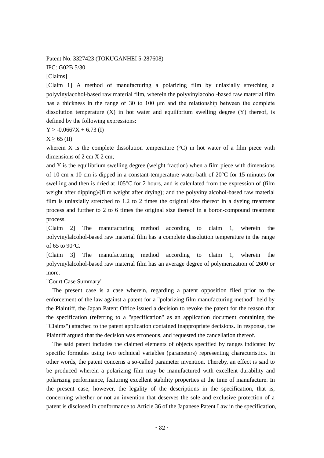Patent No. 3327423 (TOKUGANHEI 5-287608)

IPC: G02B 5/30

[Claims]

[Claim 1] A method of manufacturing a polarizing film by uniaxially stretching a polyvinylacohol-based raw material film, wherein the polyvinylacohol-based raw material film has a thickness in the range of 30 to 100 μm and the relationship between the complete dissolution temperature  $(X)$  in hot water and equilibrium swelling degree  $(Y)$  thereof, is defined by the following expressions:

 $Y > -0.0667X + 6.73$  (I)

 $X \geq 65$  (II)

wherein X is the complete dissolution temperature  $({}^{\circ}C)$  in hot water of a film piece with dimensions of 2 cm X 2 cm;

and Y is the equilibrium swelling degree (weight fraction) when a film piece with dimensions of 10 cm x 10 cm is dipped in a constant-temperature water-bath of  $20^{\circ}$ C for 15 minutes for swelling and then is dried at 105°C for 2 hours, and is calculated from the expression of (film weight after dipping)/(film weight after drying); and the polyvinylalcohol-based raw material film is uniaxially stretched to 1.2 to 2 times the original size thereof in a dyeing treatment process and further to 2 to 6 times the original size thereof in a boron-compound treatment process.

[Claim 2] The manufacturing method according to claim 1, wherein the polyvinylalcohol-based raw material film has a complete dissolution temperature in the range of  $65$  to  $90^{\circ}$ C.

[Claim 3] The manufacturing method according to claim 1, wherein the polyvinylalcohol-based raw material film has an average degree of polymerization of 2600 or more.

"Court Case Summary"

The present case is a case wherein, regarding a patent opposition filed prior to the enforcement of the law against a patent for a "polarizing film manufacturing method" held by the Plaintiff, the Japan Patent Office issued a decision to revoke the patent for the reason that the specification (referring to a "specification" as an application document containing the "Claims") attached to the patent application contained inappropriate decisions. In response, the Plaintiff argued that the decision was erroneous, and requested the cancellation thereof.

The said patent includes the claimed elements of objects specified by ranges indicated by specific formulas using two technical variables (parameters) representing characteristics. In other words, the patent concerns a so-called parameter invention. Thereby, an effect is said to be produced wherein a polarizing film may be manufactured with excellent durability and polarizing performance, featuring excellent stability properties at the time of manufacture. In the present case, however, the legality of the descriptions in the specification, that is, concerning whether or not an invention that deserves the sole and exclusive protection of a patent is disclosed in conformance to Article 36 of the Japanese Patent Law in the specification,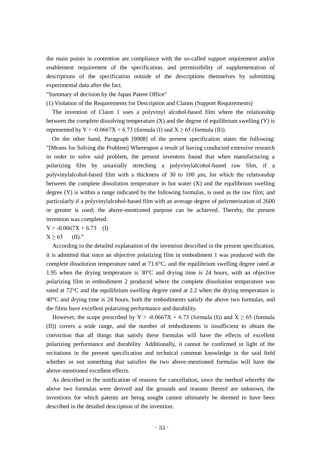the main points in contention are compliance with the so-called support requirement and/or enablement requirement of the specification, and permissibility of supplementation of descriptions of the specification outside of the descriptions themselves by submitting experimental data after the fact.

"Summary of decision by the Japan Patent Office"

(1) Violation of the Requirements for Description and Claims (Support Requirements)

The invention of Claim 1 uses a polyvinyl alcohol-based film where the relationship between the complete dissolving temperature  $(X)$  and the degree of equilibrium swelling  $(Y)$  is represented by Y > -0.0667X + 6.73 (formula (I) and  $X \ge 65$  (formula (II)).

On the other hand, Paragraph [0008] of the present specification states the following: "[Means for Solving the Problem] Whereupon a result of having conducted extensive research in order to solve said problem, the present inventors found that when manufacturing a polarizing film by uniaxially stretching a polyvinylalcohol-based raw film, if a polyvinylalcohol-based film with a thickness of 30 to 100  $\mu$ m, for which the relationship between the complete dissolution temperature in hot water (X) and the equilibrium swelling degree (Y) is within a range indicated by the following formulas, is used as the raw film; and particularly if a polyvinylalcohol-based film with an average degree of polymerization of 2600 or greater is used; the above-mentioned purpose can be achieved. Thereby, the present invention was completed:

 $Y > -0.0667X + 6.73$  (I)

 $X \ge 65$  (II)."

According to the detailed explanation of the invention described in the present specification, it is admitted that since an objective polarizing film in embodiment 1 was produced with the complete dissolution temperature rated at 71.6°C, and the equilibrium swelling degree rated at 1.95 when the drying temperature is 30°C and drying time is 24 hours, with an objective polarizing film in embodiment 2 produced where the complete dissolution temperature was rated at 72°C and the equilibrium swelling degree rated at 2.2 when the drying temperature is 40°C and drying time is 24 hours, both the embodiments satisfy the above two formulas, and the films have excellent polarizing performance and durability.

However, the scope prescribed by Y > -0.0667X + 6.73 (formula (I)) and  $X \ge 65$  (formula (II)) covers a wide range, and the number of embodiments is insufficient to obtain the conviction that all things that satisfy these formulas will have the effects of excellent polarizing performance and durability. Additionally, it cannot be confirmed in light of the recitations in the present specification and technical common knowledge in the said field whether or not something that satisfies the two above-mentioned formulas will have the above-mentioned excellent effects.

As described in the notification of reasons for cancellation, since the method whereby the above two formulas were derived and the grounds and reasons thereof are unknown, the inventions for which patents are being sought cannot ultimately be deemed to have been described in the detailed description of the invention.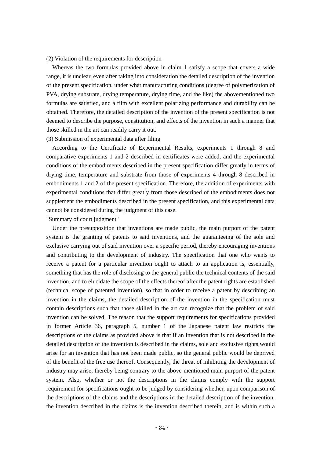#### (2) Violation of the requirements for description

Whereas the two formulas provided above in claim 1 satisfy a scope that covers a wide range, it is unclear, even after taking into consideration the detailed description of the invention of the present specification, under what manufacturing conditions (degree of polymerization of PVA, drying substrate, drying temperature, drying time, and the like) the abovementioned two formulas are satisfied, and a film with excellent polarizing performance and durability can be obtained. Therefore, the detailed description of the invention of the present specification is not deemed to describe the purpose, constitution, and effects of the invention in such a manner that those skilled in the art can readily carry it out.

#### (3) Submission of experimental data after filing

According to the Certificate of Experimental Results, experiments 1 through 8 and comparative experiments 1 and 2 described in certificates were added, and the experimental conditions of the embodiments described in the present specification differ greatly in terms of drying time, temperature and substrate from those of experiments 4 through 8 described in embodiments 1 and 2 of the present specification. Therefore, the addition of experiments with experimental conditions that differ greatly from those described of the embodiments does not supplement the embodiments described in the present specification, and this experimental data cannot be considered during the judgment of this case.

## "Summary of court judgment"

Under the presupposition that inventions are made public, the main purport of the patent system is the granting of patents to said inventions, and the guaranteeing of the sole and exclusive carrying out of said invention over a specific period, thereby encouraging inventions and contributing to the development of industry. The specification that one who wants to receive a patent for a particular invention ought to attach to an application is, essentially, something that has the role of disclosing to the general public the technical contents of the said invention, and to elucidate the scope of the effects thereof after the patent rights are established (technical scope of patented invention), so that in order to receive a patent by describing an invention in the claims, the detailed description of the invention in the specification must contain descriptions such that those skilled in the art can recognize that the problem of said invention can be solved. The reason that the support requirements for specifications provided in former Article 36, paragraph 5, number 1 of the Japanese patent law restricts the descriptions of the claims as provided above is that if an invention that is not described in the detailed description of the invention is described in the claims, sole and exclusive rights would arise for an invention that has not been made public, so the general public would be deprived of the benefit of the free use thereof. Consequently, the threat of inhibiting the development of industry may arise, thereby being contrary to the above-mentioned main purport of the patent system. Also, whether or not the descriptions in the claims comply with the support requirement for specifications ought to be judged by considering whether, upon comparison of the descriptions of the claims and the descriptions in the detailed description of the invention, the invention described in the claims is the invention described therein, and is within such a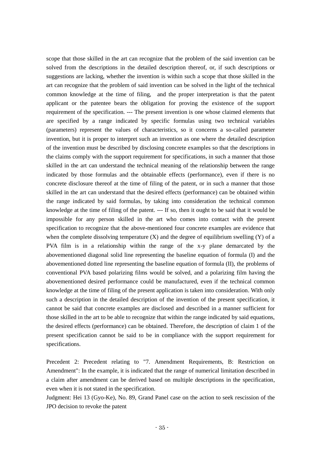scope that those skilled in the art can recognize that the problem of the said invention can be solved from the descriptions in the detailed description thereof, or, if such descriptions or suggestions are lacking, whether the invention is within such a scope that those skilled in the art can recognize that the problem of said invention can be solved in the light of the technical common knowledge at the time of filing, and the proper interpretation is that the patent applicant or the patentee bears the obligation for proving the existence of the support requirement of the specification. --- The present invention is one whose claimed elements that are specified by a range indicated by specific formulas using two technical variables (parameters) represent the values of characteristics, so it concerns a so-called parameter invention, but it is proper to interpret such an invention as one where the detailed description of the invention must be described by disclosing concrete examples so that the descriptions in the claims comply with the support requirement for specifications, in such a manner that those skilled in the art can understand the technical meaning of the relationship between the range indicated by those formulas and the obtainable effects (performance), even if there is no concrete disclosure thereof at the time of filing of the patent, or in such a manner that those skilled in the art can understand that the desired effects (performance) can be obtained within the range indicated by said formulas, by taking into consideration the technical common knowledge at the time of filing of the patent. --- If so, then it ought to be said that it would be impossible for any person skilled in the art who comes into contact with the present specification to recognize that the above-mentioned four concrete examples are evidence that when the complete dissolving temperature  $(X)$  and the degree of equilibrium swelling  $(Y)$  of a PVA film is in a relationship within the range of the x-y plane demarcated by the abovementioned diagonal solid line representing the baseline equation of formula (I) and the abovementioned dotted line representing the baseline equation of formula (II), the problems of conventional PVA based polarizing films would be solved, and a polarizing film having the abovementioned desired performance could be manufactured, even if the technical common knowledge at the time of filing of the present application is taken into consideration. With only such a description in the detailed description of the invention of the present specification, it cannot be said that concrete examples are disclosed and described in a manner sufficient for those skilled in the art to be able to recognize that within the range indicated by said equations, the desired effects (performance) can be obtained. Therefore, the description of claim 1 of the present specification cannot be said to be in compliance with the support requirement for specifications.

Precedent 2: Precedent relating to "7. Amendment Requirements, B: Restriction on Amendment": In the example, it is indicated that the range of numerical limitation described in a claim after amendment can be derived based on multiple descriptions in the specification, even when it is not stated in the specification.

Judgment: Hei 13 (Gyo-Ke), No. 89, Grand Panel case on the action to seek rescission of the JPO decision to revoke the patent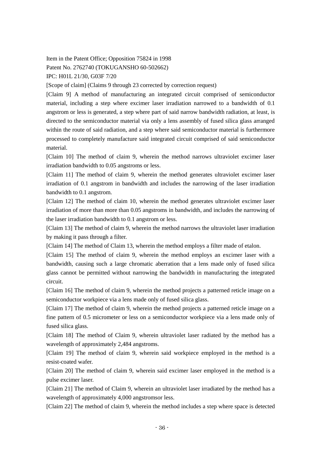Item in the Patent Office; Opposition 75824 in 1998

Patent No. 2762740 (TOKUGANSHO 60-502662)

IPC: H01L 21/30, G03F 7/20

[Scope of claim] (Claims 9 through 23 corrected by correction request)

[Claim 9] A method of manufacturing an integrated circuit comprised of semiconductor material, including a step where excimer laser irradiation narrowed to a bandwidth of 0.1 angstrom or less is generated, a step where part of said narrow bandwidth radiation, at least, is directed to the semiconductor material via only a lens assembly of fused silica glass arranged within the route of said radiation, and a step where said semiconductor material is furthermore processed to completely manufacture said integrated circuit comprised of said semiconductor material.

[Claim 10] The method of claim 9, wherein the method narrows ultraviolet excimer laser irradiation bandwidth to 0.05 angstroms or less.

[Claim 11] The method of claim 9, wherein the method generates ultraviolet excimer laser irradiation of 0.1 angstrom in bandwidth and includes the narrowing of the laser irradiation bandwidth to 0.1 angstrom.

[Claim 12] The method of claim 10, wherein the method generates ultraviolet excimer laser irradiation of more than more than 0.05 angstroms in bandwidth, and includes the narrowing of the laser irradiation bandwidth to 0.1 angstrom or less.

[Claim 13] The method of claim 9, wherein the method narrows the ultraviolet laser irradiation by making it pass through a filter.

[Claim 14] The method of Claim 13, wherein the method employs a filter made of etalon.

[Claim 15] The method of claim 9, wherein the method employs an excimer laser with a bandwidth, causing such a large chromatic aberration that a lens made only of fused silica glass cannot be permitted without narrowing the bandwidth in manufacturing the integrated circuit.

[Claim 16] The method of claim 9, wherein the method projects a patterned reticle image on a semiconductor workpiece via a lens made only of fused silica glass.

[Claim 17] The method of claim 9, wherein the method projects a patterned reticle image on a fine pattern of 0.5 micrometer or less on a semiconductor workpiece via a lens made only of fused silica glass.

[Claim 18] The method of Claim 9, wherein ultraviolet laser radiated by the method has a wavelength of approximately 2,484 angstroms.

[Claim 19] The method of claim 9, wherein said workpiece employed in the method is a resist-coated wafer.

[Claim 20] The method of claim 9, wherein said excimer laser employed in the method is a pulse excimer laser.

[Claim 21] The method of Claim 9, wherein an ultraviolet laser irradiated by the method has a wavelength of approximately 4,000 angstromsor less.

[Claim 22] The method of claim 9, wherein the method includes a step where space is detected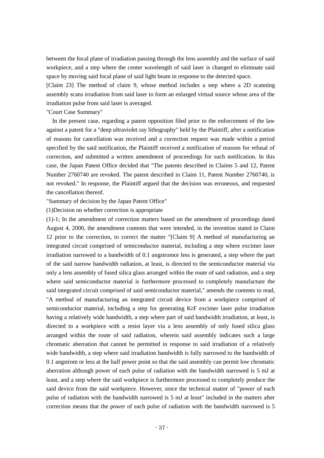between the focal plane of irradiation passing through the lens assembly and the surface of said workpiece, and a step where the center wavelength of said laser is changed to eliminate said space by moving said focal plane of said light beam in response to the detected space.

[Claim 23] The method of claim 9, whose method includes a step where a 2D scanning assembly scans irradiation from said laser to form an enlarged virtual source whose area of the irradiation pulse from said laser is averaged.

"Court Case Summary"

In the present case, regarding a patent opposition filed prior to the enforcement of the law against a patent for a "deep ultraviolet ray lithography" held by the Plaintiff, after a notification of reasons for cancellation was received and a correction request was made within a period specified by the said notification, the Plaintiff received a notification of reasons for refusal of correction, and submitted a written amendment of proceedings for such notification. In this case, the Japan Patent Office decided that "The patents described in Claims 5 and 12, Patent Number 2760740 are revoked. The patent described in Claim 11, Patent Number 2760740, is not revoked." In response, the Plaintiff argued that the decision was erroneous, and requested the cancellation thereof.

"Summary of decision by the Japan Patent Office"

(1)Decision on whether correction is appropriate

(1)-1; In the amendment of correction matters based on the amendment of proceedings dated August 4, 2000, the amendment contents that were intended, in the invention stated in Claim 12 prior to the correction, to correct the matter "[Claim 9] A method of manufacturing an integrated circuit comprised of semiconductor material, including a step where excimer laser irradiation narrowed to a bandwidth of 0.1 angstromor less is generated, a step where the part of the said narrow bandwidth radiation, at least, is directed to the semiconductor material via only a lens assembly of fused silica glass arranged within the route of said radiation, and a step where said semiconductor material is furthermore processed to completely manufacture the said integrated circuit comprised of said semiconductor material," amends the contents to read, "A method of manufacturing an integrated circuit device from a workpiece comprised of semiconductor material, including a step for generating KrF excimer laser pulse irradiation having a relatively wide bandwidth, a step where part of said bandwidth irradiation, at least, is directed to a workpiece with a resist layer via a lens assembly of only fused silica glass arranged within the route of said radiation, wherein said assembly indicates such a large chromatic aberration that cannot be permitted in response to said irradiation of a relatively wide bandwidth, a step where said irradiation bandwidth is fully narrowed to the bandwidth of 0.1 angstrom or less at the half power point so that the said assembly can permit low chromatic aberration although power of each pulse of radiation with the bandwidth narrowed is 5 mJ at least, and a step where the said workpiece is furthermore processed to completely produce the said device from the said workpiece. However, since the technical matter of "power of each pulse of radiation with the bandwidth narrowed is 5 mJ at least" included in the matters after correction means that the power of each pulse of radiation with the bandwidth narrowed is 5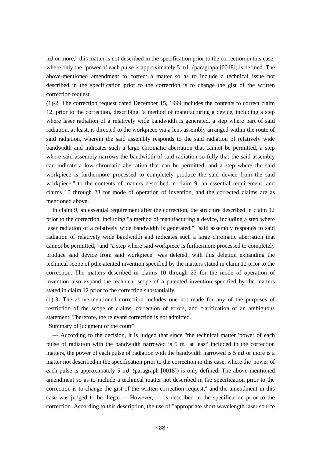mJ or more," this matter is not described in the specification prior to the correction in this case, where only the "power of each pulse is approximately 5 mJ" (paragraph [0018]) is defined. The above-mentioned amendment to correct a matter so as to include a technical issue not described in the specification prior to the correction is to change the gist of the written correction request.

(1)-2; The correction request dated December 15, 1999 includes the contents to correct claim 12, prior to the correction, describing "a method of manufacturing a device, including a step where laser radiation of a relatively wide bandwidth is generated, a step where part of said radiation, at least, is directed to the workpiece via a lens assembly arranged within the route of said radiation, wherein the said assembly responds to the said radiation of relatively wide bandwidth and indicates such a large chromatic aberration that cannot be permitted, a step where said assembly narrows the bandwidth of said radiation so fully that the said assembly can indicate a low chromatic aberration that can be permitted, and a step where the said workpiece is furthermore processed to completely produce the said device from the said workpiece," to the contents of matters described in claim 9, an essential requirement, and claims 10 through 23 for mode of operation of invention, and the corrected claims are as mentioned above.

In claim 9, an essential requirement after the correction, the structure described in claim 12 prior to the correction, including "a method of manufacturing a device, including a step where laser radiation of a relatively wide bandwidth is generated," "said assembly responds to said radiation of relatively wide bandwidth and indicates such a large chromatic aberration that cannot be permitted," and "a step where said workpiece is furthermore processed to completely produce said device from said workpiece" was deleted, with this deletion expanding the technical scope of pthe atented invention specified by the matters stated in claim 12 prior to the correction. The matters described in claims 10 through 23 for the mode of operation of invention also expand the technical scope of a patented invention specified by the matters stated in claim 12 prior to the correction substantially.

(1)-3: The above-mentioned correction includes one not made for any of the purposes of restriction of the scope of claims, correction of errors, and clarification of an ambiguous statement. Therefore, the relevant correction is not admitted.

"Summary of judgment of the court"

--- According to the decision, it is judged that since "the technical matter 'power of each pulse of radiation with the bandwidth narrowed is 5 mJ at least' included in the correction matters, the power of each pulse of radiation with the bandwidth narrowed is 5 mJ or more is a matter not described in the specification prior to the correction in this case, where the 'power of each pulse is approximately 5 mJ' (paragraph [0018]) is only defined. The above-mentioned amendment so as to include a technical matter not described in the specification prior to the correction is to change the gist of the written correction request," and the amendment in this case was judged to be illegal.--- However, --- is described in the specification prior to the correction. According to this description, the use of "appropriate short wavelength laser source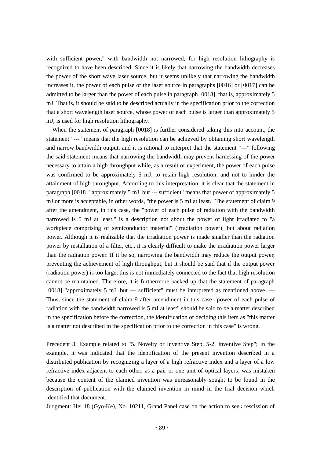with sufficient power," with bandwidth not narrowed, for high resolution lithography is recognized to have been described. Since it is likely that narrowing the bandwidth decreases the power of the short wave laser source, but it seems unlikely that narrowing the bandwidth increases it, the power of each pulse of the laser source in paragraphs [0016] or [0017] can be admitted to be larger than the power of each pulse in paragraph [0018], that is, approximately 5 mJ. That is, it should be said to be described actually in the specification prior to the correction that a short wavelength laser source, whose power of each pulse is larger than approximately 5 mJ, is used for high resolution lithography.

When the statement of paragraph [0018] is further considered taking this into account, the statement "---" means that the high resolution can be achieved by obtaining short wavelength and narrow bandwidth output, and it is rational to interpret that the statement "---" following the said statement means that narrowing the bandwidth may prevent harnessing of the power necessary to attain a high throughput while, as a result of experiment, the power of each pulse was confirmed to be approximately 5 mJ, to retain high resolution, and not to hinder the attainment of high throughput. According to this interpretation, it is clear that the statement in paragraph [0018] "approximately 5 mJ, but --- sufficient" means that power of approximately 5 mJ or more is acceptable, in other words, "the power is 5 mJ at least." The statement of claim 9 after the amendment, in this case, the "power of each pulse of radiation with the bandwidth narrowed is 5 mJ at least," is a description not about the power of light irradiated to "a workpiece comprising of semiconductor material" (irradiation power), but about radiation power. Although it is realizable that the irradiation power is made smaller than the radiation power by installation of a filter, etc., it is clearly difficult to make the irradiation power larger than the radiation power. If it be so, narrowing the bandwidth may reduce the output power, preventing the achievement of high throughput, but it should be said that if the output power (radiation power) is too large, this is not immediately connected to the fact that high resolution cannot be maintained. Therefore, it is furthermore backed up that the statement of paragraph [0018] "approximately 5 mJ, but --- sufficient" must be interpreted as mentioned above. ---Thus, since the statement of claim 9 after amendment in this case "power of each pulse of radiation with the bandwidth narrowed is 5 mJ at least" should be said to be a matter described in the specification before the correction, the identification of deciding this item as "this matter is a matter not described in the specification prior to the correction in this case" is wrong.

Precedent 3: Example related to "5. Novelty or Inventive Step, 5-2. Inventive Step"; In the example, it was indicated that the identification of the present invention described in a distributed publication by recognizing a layer of a high refractive index and a layer of a low refractive index adjacent to each other, as a pair or one unit of optical layers, was mistaken because the content of the claimed invention was unreasonably sought to be found in the description of publication with the claimed invention in mind in the trial decision which identified that document.

Judgment: Hei 18 (Gyo-Ke), No. 10211, Grand Panel case on the action to seek rescission of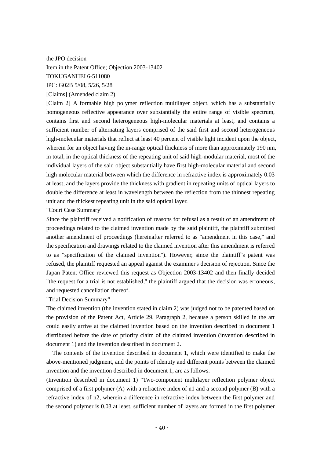the JPO decision Item in the Patent Office; Objection 2003-13402 TOKUGANHEI 6-511080 IPC: G02B 5/08, 5/26, 5/28 [Claims] (Amended claim 2)

[Claim 2] A formable high polymer reflection multilayer object, which has a substantially homogeneous reflective appearance over substantially the entire range of visible spectrum, contains first and second heterogeneous high-molecular materials at least, and contains a sufficient number of alternating layers comprised of the said first and second heterogeneous high-molecular materials that reflect at least 40 percent of visible light incident upon the object, wherein for an object having the in-range optical thickness of more than approximately 190 nm, in total, in the optical thickness of the repeating unit of said high-modular material, most of the individual layers of the said object substantially have first high-molecular material and second high molecular material between which the difference in refractive index is approximately 0.03 at least, and the layers provide the thickness with gradient in repeating units of optical layers to double the difference at least in wavelength between the reflection from the thinnest repeating unit and the thickest repeating unit in the said optical layer.

"Court Case Summary"

Since the plaintiff received a notification of reasons for refusal as a result of an amendment of proceedings related to the claimed invention made by the said plaintiff, the plaintiff submitted another amendment of proceedings (hereinafter referred to as "amendment in this case," and the specification and drawings related to the claimed invention after this amendment is referred to as "specification of the claimed invention"). However, since the plaintiff's patent was refused, the plaintiff requested an appeal against the examiner's decision of rejection. Since the Japan Patent Office reviewed this request as Objection 2003-13402 and then finally decided "the request for a trial is not established," the plaintiff argued that the decision was erroneous, and requested cancellation thereof.

"Trial Decision Summary"

The claimed invention (the invention stated in claim 2) was judged not to be patented based on the provision of the Patent Act, Article 29, Paragraph 2, because a person skilled in the art could easily arrive at the claimed invention based on the invention described in document 1 distributed before the date of priority claim of the claimed invention (invention described in document 1) and the invention described in document 2.

The contents of the invention described in document 1, which were identified to make the above-mentioned judgment, and the points of identity and different points between the claimed invention and the invention described in document 1, are as follows.

(Invention described in document 1) "Two-component multilayer reflection polymer object comprised of a first polymer (A) with a refractive index of n1 and a second polymer (B) with a refractive index of n2, wherein a difference in refractive index between the first polymer and the second polymer is 0.03 at least, sufficient number of layers are formed in the first polymer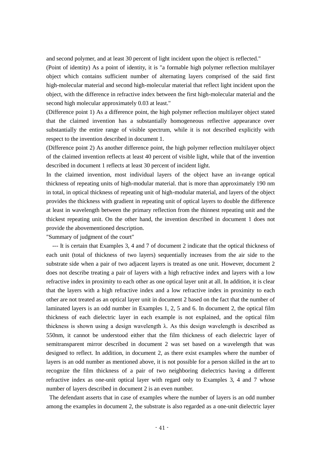and second polymer, and at least 30 percent of light incident upon the object is reflected."

(Point of identity) As a point of identity, it is "a formable high polymer reflection multilayer object which contains sufficient number of alternating layers comprised of the said first high-molecular material and second high-molecular material that reflect light incident upon the object, with the difference in refractive index between the first high-molecular material and the second high molecular approximately 0.03 at least."

(Difference point 1) As a difference point, the high polymer reflection multilayer object stated that the claimed invention has a substantially homogeneous reflective appearance over substantially the entire range of visible spectrum, while it is not described explicitly with respect to the invention described in document 1.

(Difference point 2) As another difference point, the high polymer reflection multilayer object of the claimed invention reflects at least 40 percent of visible light, while that of the invention described in document 1 reflects at least 30 percent of incident light.

In the claimed invention, most individual layers of the object have an in-range optical thickness of repeating units of high-modular material. that is more than approximately 190 nm in total, in optical thickness of repeating unit of high-modular material, and layers of the object provides the thickness with gradient in repeating unit of optical layers to double the difference at least in wavelength between the primary reflection from the thinnest repeating unit and the thickest repeating unit. On the other hand, the invention described in document 1 does not provide the abovementioned description.

"Summary of judgment of the court"

--- It is certain that Examples 3, 4 and 7 of document 2 indicate that the optical thickness of each unit (total of thickness of two layers) sequentially increases from the air side to the substrate side when a pair of two adjacent layers is treated as one unit. However, document 2 does not describe treating a pair of layers with a high refractive index and layers with a low refractive index in proximity to each other as one optical layer unit at all. In addition, it is clear that the layers with a high refractive index and a low refractive index in proximity to each other are not treated as an optical layer unit in document 2 based on the fact that the number of laminated layers is an odd number in Examples 1, 2, 5 and 6. In document 2, the optical film thickness of each dielectric layer in each example is not explained, and the optical film thickness is shown using a design wavelength  $\lambda$ . As this design wavelength is described as 550nm, it cannot be understood either that the film thickness of each dielectric layer of semitransparent mirror described in document 2 was set based on a wavelength that was designed to reflect. In addition, in document 2, as there exist examples where the number of layers is an odd number as mentioned above, it is not possible for a person skilled in the art to recognize the film thickness of a pair of two neighboring dielectrics having a different refractive index as one-unit optical layer with regard only to Examples 3, 4 and 7 whose number of layers described in document 2 is an even number.

The defendant asserts that in case of examples where the number of layers is an odd number among the examples in document 2, the substrate is also regarded as a one-unit dielectric layer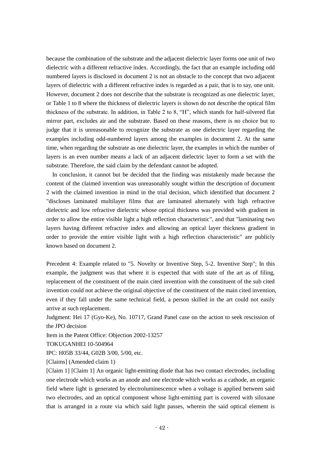because the combination of the substrate and the adjacent dielectric layer forms one unit of two dielectric with a different refractive index. Accordingly, the fact that an example including odd numbered layers is disclosed in document 2 is not an obstacle to the concept that two adjacent layers of dielectric with a different refractive index is regarded as a pair, that is to say, one unit. However, document 2 does not describe that the substrate is recognized as one dielectric layer, or Table 1 to 8 where the thickness of dielectric layers is shown do not describe the optical film thickness of the substrate. In addition, in Table 2 to 8, "H", which stands for half-silvered flat mirror part, excludes air and the substrate. Based on these reasons, there is no choice but to judge that it is unreasonable to recognize the substrate as one dielectric layer regarding the examples including odd-numbered layers among the examples in document 2. At the same time, when regarding the substrate as one dielectric layer, the examples in which the number of layers is an even number means a lack of an adjacent dielectric layer to form a set with the substrate. Therefore, the said claim by the defendant cannot be adopted.

In conclusion, it cannot but be decided that the finding was mistakenly made because the content of the claimed invention was unreasonably sought within the description of document 2 with the claimed invention in mind in the trial decision, which identified that document 2 "discloses laminated multilayer films that are laminated alternately with high refractive dielectric and low refractive dielectric whose optical thickness was provided with gradient in order to allow the entire visible light a high reflection characteristic", and that "laminating two layers having different refractive index and allowing an optical layer thickness gradient in order to provide the entire visible light with a high reflection characteristic" are publicly known based on document 2.

Precedent 4: Example related to "5. Novelty or Inventive Step, 5-2. Inventive Step"; In this example, the judgment was that where it is expected that with state of the art as of filing, replacement of the constituent of the main cited invention with the constituent of the sub cited invention could not achieve the original objective of the constituent of the main cited invention, even if they fall under the same technical field, a person skilled in the art could not easily arrive at such replacement.

Judgment: Hei 17 (Gyo-Ke), No. 10717, Grand Panel case on the action to seek rescission of the JPO decision

Item in the Patent Office: Objection 2002-13257

TOKUGANHEI 10-504964

IPC: H05B 33/44, G02B 3/00, 5/00, etc.

[Claims] (Amended claim 1)

[Claim 1] [Claim 1] An organic light-emitting diode that has two contact electrodes, including one electrode which works as an anode and one electrode which works as a cathode, an organic field where light is generated by electroluminescence when a voltage is applied between said two electrodes, and an optical component whose light-emitting part is covered with siloxane that is arranged in a route via which said light passes, wherein the said optical element is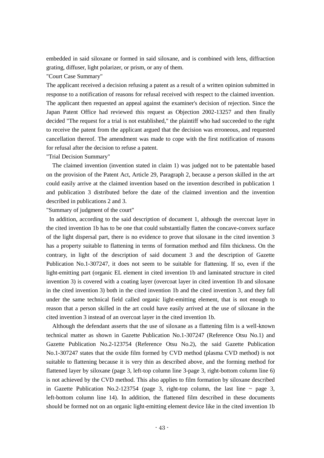embedded in said siloxane or formed in said siloxane, and is combined with lens, diffraction grating, diffuser, light polarizer, or prism, or any of them.

# "Court Case Summary"

The applicant received a decision refusing a patent as a result of a written opinion submitted in response to a notification of reasons for refusal received with respect to the claimed invention. The applicant then requested an appeal against the examiner's decision of rejection. Since the Japan Patent Office had reviewed this request as Objection 2002-13257 and then finally decided "The request for a trial is not established," the plaintiff who had succeeded to the right to receive the patent from the applicant argued that the decision was erroneous, and requested cancellation thereof. The amendment was made to cope with the first notification of reasons for refusal after the decision to refuse a patent.

# "Trial Decision Summary"

The claimed invention (invention stated in claim 1) was judged not to be patentable based on the provision of the Patent Act, Article 29, Paragraph 2, because a person skilled in the art could easily arrive at the claimed invention based on the invention described in publication 1 and publication 3 distributed before the date of the claimed invention and the invention described in publications 2 and 3.

# "Summary of judgment of the court"

In addition, according to the said description of document 1, although the overcoat layer in the cited invention 1b has to be one that could substantially flatten the concave-convex surface of the light dispersal part, there is no evidence to prove that siloxane in the cited invention 3 has a property suitable to flattening in terms of formation method and film thickness. On the contrary, in light of the description of said document 3 and the description of Gazette Publication No.1-307247, it does not seem to be suitable for flattening. If so, even if the light-emitting part (organic EL element in cited invention 1b and laminated structure in cited invention 3) is covered with a coating layer (overcoat layer in cited invention 1b and siloxane in the cited invention 3) both in the cited invention 1b and the cited invention 3, and they fall under the same technical field called organic light-emitting element, that is not enough to reason that a person skilled in the art could have easily arrived at the use of siloxane in the cited invention 3 instead of an overcoat layer in the cited invention 1b.

Although the defendant asserts that the use of siloxane as a flattening film is a well-known technical matter as shown in Gazette Publication No.1-307247 (Reference Otsu No.1) and Gazette Publication No.2-123754 (Reference Otsu No.2), the said Gazette Publication No.1-307247 states that the oxide film formed by CVD method (plasma CVD method) is not suitable to flattening because it is very thin as described above, and the forming method for flattened layer by siloxane (page 3, left-top column line 3-page 3, right-bottom column line 6) is not achieved by the CVD method. This also applies to film formation by siloxane described in Gazette Publication No.2-123754 (page 3, right-top column, the last line  $\sim$  page 3, left-bottom column line 14). In addition, the flattened film described in these documents should be formed not on an organic light-emitting element device like in the cited invention 1b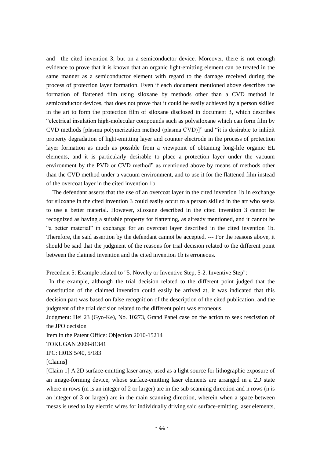and the cited invention 3, but on a semiconductor device. Moreover, there is not enough evidence to prove that it is known that an organic light-emitting element can be treated in the same manner as a semiconductor element with regard to the damage received during the process of protection layer formation. Even if each document mentioned above describes the formation of flattened film using siloxane by methods other than a CVD method in semiconductor devices, that does not prove that it could be easily achieved by a person skilled in the art to form the protection film of siloxane disclosed in document 3, which describes "electrical insulation high-molecular compounds such as polysiloxane which can form film by CVD methods [plasma polymerization method (plasma CVD)]" and "it is desirable to inhibit property degradation of light-emitting layer and counter electrode in the process of protection layer formation as much as possible from a viewpoint of obtaining long-life organic EL elements, and it is particularly desirable to place a protection layer under the vacuum environment by the PVD or CVD method" as mentioned above by means of methods other than the CVD method under a vacuum environment, and to use it for the flattened film instead of the overcoat layer in the cited invention 1b.

 The defendant asserts that the use of an overcoat layer in the cited invention 1b in exchange for siloxane in the cited invention 3 could easily occur to a person skilled in the art who seeks to use a better material. However, siloxane described in the cited invention 3 cannot be recognized as having a suitable property for flattening, as already mentioned, and it cannot be "a better material" in exchange for an overcoat layer described in the cited invention 1b. Therefore, the said assertion by the defendant cannot be accepted. --- For the reasons above, it should be said that the judgment of the reasons for trial decision related to the different point between the claimed invention and the cited invention 1b is erroneous.

Precedent 5: Example related to "5. Novelty or Inventive Step, 5-2. Inventive Step":

In the example, although the trial decision related to the different point judged that the constitution of the claimed invention could easily be arrived at, it was indicated that this decision part was based on false recognition of the description of the cited publication, and the judgment of the trial decision related to the different point was erroneous.

Judgment: Hei 23 (Gyo-Ke), No. 10273, Grand Panel case on the action to seek rescission of the JPO decision

Item in the Patent Office: Objection 2010-15214

TOKUGAN 2009-81341

IPC: H01S 5/40, 5/183

[Claims]

[Claim 1] A 2D surface-emitting laser array, used as a light source for lithographic exposure of an image-forming device, whose surface-emitting laser elements are arranged in a 2D state where m rows (m is an integer of 2 or larger) are in the sub scanning direction and n rows (n is an integer of 3 or larger) are in the main scanning direction, wherein when a space between mesas is used to lay electric wires for individually driving said surface-emitting laser elements,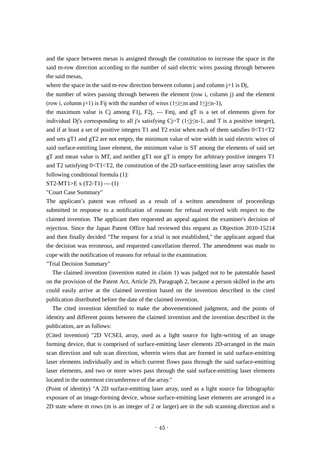and the space between mesas is assigned through the constitution to increase the space in the said m-row direction according to the number of said electric wires passing through between the said mesas,

where the space in the said m-row direction between column j and column  $j+1$  is Dj,

the number of wires passing through between the element (row i, column j) and the element (row i, column j+1) is Fij with the number of wires ( $1 \le i \le m$  and  $1 \le j \le n-1$ ),

the maximum value is Cj among F1j, F2j, --- Fmj, and gT is a set of elements given for individual Dj's corresponding to all j's satisfying Cj=T ( $1 \le j \le n-1$ , and T is a positive integer), and if at least a set of positive integers T1 and T2 exist when each of them satisfies  $0 < T1 < T2$ and sets gT1 and gT2 are not empty, the minimum value of wire width in said electric wires of said surface-emitting laser element, the minimum value is ST among the elements of said set gT and mean value is MT, and neither gT1 nor gT is empty for arbitrary positive integers T1 and T2 satisfying  $0 < T1 < T2$ , the constitution of the 2D surface-emitting laser array satisfies the following conditional formula (1):

 $ST2-MT1>E X (T2-T1) -- (1)$ 

"Court Case Summary"

The applicant's patent was refused as a result of a written amendment of proceedings submitted in response to a notification of reasons for refusal received with respect to the claimed invention. The applicant then requested an appeal against the examiner's decision of rejection. Since the Japan Patent Office had reviewed this request as Objection 2010-15214 and then finally decided "The request for a trial is not established," the applicant argued that the decision was erroneous, and requested cancellation thereof. The amendment was made to cope with the notification of reasons for refusal in the examination.

"Trial Decision Summary"

The claimed invention (invention stated in claim 1) was judged not to be patentable based on the provision of the Patent Act, Article 29, Paragraph 2, because a person skilled in the arts could easily arrive at the claimed invention based on the invention described in the cited publication distributed before the date of the claimed invention.

The cited invention identified to make the abovementioned judgment, and the points of identity and different points between the claimed invention and the invention described in the publication, are as follows:

(Cited invention) "2D VCSEL array, used as a light source for light-writing of an image forming device, that is comprised of surface-emitting laser elements 2D-arranged in the main scan direction and sub scan direction, wherein wires that are formed in said surface-emitting laser elements individually and in which current flows pass through the said surface-emitting laser elements, and two or more wires pass through the said surface-emitting laser elements located in the outermost circumference of the array."

(Point of identity) "A 2D surface-emitting laser array, used as a light source for lithographic exposure of an image-forming device, whose surface-emitting laser elements are arranged in a 2D state where m rows (m is an integer of 2 or larger) are in the sub scanning direction and n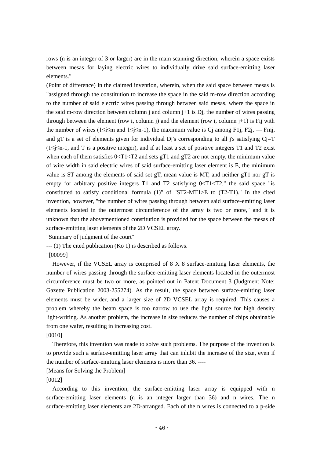rows (n is an integer of 3 or larger) are in the main scanning direction, wherein a space exists between mesas for laying electric wires to individually drive said surface-emitting laser elements."

(Point of difference) In the claimed invention, wherein, when the said space between mesas is "assigned through the constitution to increase the space in the said m-row direction according to the number of said electric wires passing through between said mesas, where the space in the said m-row direction between column j and column  $j+1$  is Dj, the number of wires passing through between the element (row i, column j) and the element (row i, column  $j+1$ ) is Fij with the number of wires ( $1 \le i \le m$  and  $1 \le i \le n-1$ ), the maximum value is C<sub>i</sub> among F1*j*, F2*j*, --- Fmj, and gT is a set of elements given for individual Dj's corresponding to all j's satisfying  $C_i=T$ (1≤j≤n-1, and T is a positive integer), and if at least a set of positive integers T1 and T2 exist when each of them satisfies  $0 < T1 < T2$  and sets gT1 and gT2 are not empty, the minimum value of wire width in said electric wires of said surface-emitting laser element is E, the minimum value is ST among the elements of said set gT, mean value is MT, and neither gT1 nor gT is empty for arbitrary positive integers  $T1$  and  $T2$  satisfying  $0 < T1 < T2$ ," the said space "is constituted to satisfy conditional formula (1)" of "ST2-MT1>E to (T2-T1)." In the cited invention, however, "the number of wires passing through between said surface-emitting laser elements located in the outermost circumference of the array is two or more," and it is unknown that the abovementioned constitution is provided for the space between the mesas of surface-emitting laser elements of the 2D VCSEL array.

"Summary of judgment of the court"

--- (1) The cited publication (Ko 1) is described as follows.

"[00099]

However, if the VCSEL array is comprised of 8 X 8 surface-emitting laser elements, the number of wires passing through the surface-emitting laser elements located in the outermost circumference must be two or more, as pointed out in Patent Document 3 (Judgment Note: Gazette Publication 2003-255274). As the result, the space between surface-emitting laser elements must be wider, and a larger size of 2D VCSEL array is required. This causes a problem whereby the beam space is too narrow to use the light source for high density light-writing. As another problem, the increase in size reduces the number of chips obtainable from one wafer, resulting in increasing cost.

## [0010]

Therefore, this invention was made to solve such problems. The purpose of the invention is to provide such a surface-emitting laser array that can inhibit the increase of the size, even if the number of surface-emitting laser elements is more than 36. ----

[Means for Solving the Problem]

[0012]

According to this invention, the surface-emitting laser array is equipped with n surface-emitting laser elements (n is an integer larger than 36) and n wires. The n surface-emitting laser elements are 2D-arranged. Each of the n wires is connected to a p-side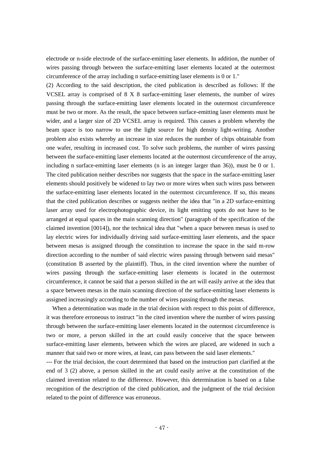electrode or n-side electrode of the surface-emitting laser elements. In addition, the number of wires passing through between the surface-emitting laser elements located at the outermost circumference of the array including n surface-emitting laser elements is 0 or 1."

(2) According to the said description, the cited publication is described as follows: If the VCSEL array is comprised of 8 X 8 surface-emitting laser elements, the number of wires passing through the surface-emitting laser elements located in the outermost circumference must be two or more. As the result, the space between surface-emitting laser elements must be wider, and a larger size of 2D VCSEL array is required. This causes a problem whereby the beam space is too narrow to use the light source for high density light-writing. Another problem also exists whereby an increase in size reduces the number of chips obtainable from one wafer, resulting in increased cost. To solve such problems, the number of wires passing between the surface-emitting laser elements located at the outermost circumference of the array, including n surface-emitting laser elements (n is an integer larger than 36)), must be 0 or 1. The cited publication neither describes nor suggests that the space in the surface-emitting laser elements should positively be widened to lay two or more wires when such wires pass between the surface-emitting laser elements located in the outermost circumference. If so, this means that the cited publication describes or suggests neither the idea that "in a 2D surface-emitting laser array used for electrophotographic device, its light emitting spots do not have to be arranged at equal spaces in the main scanning direction" (paragraph of the specification of the claimed invention [0014]), nor the technical idea that "when a space between mesas is used to lay electric wires for individually driving said surface-emitting laser elements, and the space between mesas is assigned through the constitution to increase the space in the said m-row direction according to the number of said electric wires passing through between said mesas" (constitution B asserted by the plaintiff). Thus, in the cited invention where the number of wires passing through the surface-emitting laser elements is located in the outermost circumference, it cannot be said that a person skilled in the art will easily arrive at the idea that a space between mesas in the main scanning direction of the surface-emitting laser elements is assigned increasingly according to the number of wires passing through the mesas.

When a determination was made in the trial decision with respect to this point of difference, it was therefore erroneous to instruct "in the cited invention where the number of wires passing through between the surface-emitting laser elements located in the outermost circumference is two or more, a person skilled in the art could easily conceive that the space between surface-emitting laser elements, between which the wires are placed, are widened in such a manner that said two or more wires, at least, can pass between the said laser elements."

--- For the trial decision, the court determined that based on the instruction part clarified at the end of 3 (2) above, a person skilled in the art could easily arrive at the constitution of the claimed invention related to the difference. However, this determination is based on a false recognition of the description of the cited publication, and the judgment of the trial decision related to the point of difference was erroneous.